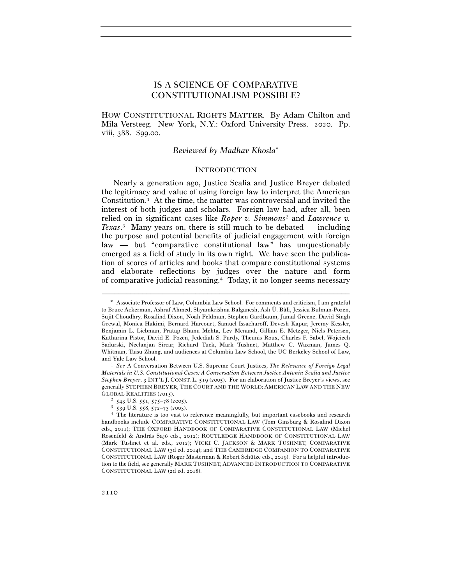# IS A SCIENCE OF COMPARATIVE CONSTITUTIONALISM POSSIBLE?

HOW CONSTITUTIONAL RIGHTS MATTER. By Adam Chilton and Mila Versteeg. New York, N.Y.: Oxford University Press. 2020. Pp. viii, 388. \$99.00.

# *Reviewed by Madhav Khosla*<sup>∗</sup>

## **INTRODUCTION**

Nearly a generation ago, Justice Scalia and Justice Breyer debated the legitimacy and value of using foreign law to interpret the American Constitution.<sup>1</sup> At the time, the matter was controversial and invited the interest of both judges and scholars. Foreign law had, after all, been relied on in significant cases like *Roper v. Simmons*2 and *Lawrence v. Texas*. 3 Many years on, there is still much to be debated — including the purpose and potential benefits of judicial engagement with foreign law — but "comparative constitutional law" has unquestionably emerged as a field of study in its own right. We have seen the publication of scores of articles and books that compare constitutional systems and elaborate reflections by judges over the nature and form of comparative judicial reasoning.4 Today, it no longer seems necessary

<sup>∗</sup> Associate Professor of Law, Columbia Law School. For comments and criticism, I am grateful to Bruce Ackerman, Ashraf Ahmed, Shyamkrishna Balganesh, Aslı Ü. Bâli, Jessica Bulman-Pozen, Sujit Choudhry, Rosalind Dixon, Noah Feldman, Stephen Gardbaum, Jamal Greene, David Singh Grewal, Monica Hakimi, Bernard Harcourt, Samuel Issacharoff, Devesh Kapur, Jeremy Kessler, Benjamin L. Liebman, Pratap Bhanu Mehta, Lev Menand, Gillian E. Metzger, Niels Petersen, Katharina Pistor, David E. Pozen, Jedediah S. Purdy, Theunis Roux, Charles F. Sabel, Wojciech Sadurski, Neelanjan Sircar, Richard Tuck, Mark Tushnet, Matthew C. Waxman, James Q. Whitman, Taisu Zhang, and audiences at Columbia Law School, the UC Berkeley School of Law, and Yale Law School. 1 *See* A Conversation Between U.S. Supreme Court Justices, *The Relevance of Foreign Legal* 

*Materials in U.S. Constitutional Cases: A Conversation Between Justice Antonin Scalia and Justice Stephen Breyer*, 3 INT'L J. CONST. L. 519 (2005). For an elaboration of Justice Breyer's views, see generally STEPHEN BREYER, THE COURT AND THE WORLD: AMERICAN LAW AND THE NEW

GLOBAL REALITIES (2015).<br>
<sup>2</sup> 543 U.S. 551, 575–78 (2005).<br>
<sup>3</sup> 539 U.S. 558, 572–73 (2003).<br>
<sup>4</sup> The literature is too vast to reference meaningfully, but important casebooks and research handbooks include COMPARATIVE CONSTITUTIONAL LAW (Tom Ginsburg & Rosalind Dixon eds., 2011); THE OXFORD HANDBOOK OF COMPARATIVE CONSTITUTIONAL LAW (Michel Rosenfeld & András Sajó eds., 2012); ROUTLEDGE HANDBOOK OF CONSTITUTIONAL LAW (Mark Tushnet et al. eds., 2012); VICKI C. JACKSON & MARK TUSHNET, COMPARATIVE CONSTITUTIONAL LAW (3d ed. 2014); and THE CAMBRIDGE COMPANION TO COMPARATIVE CONSTITUTIONAL LAW (Roger Masterman & Robert Schütze eds., 2019). For a helpful introduction to the field, see generally MARK TUSHNET, ADVANCED INTRODUCTION TO COMPARATIVE CONSTITUTIONAL LAW (2d ed. 2018).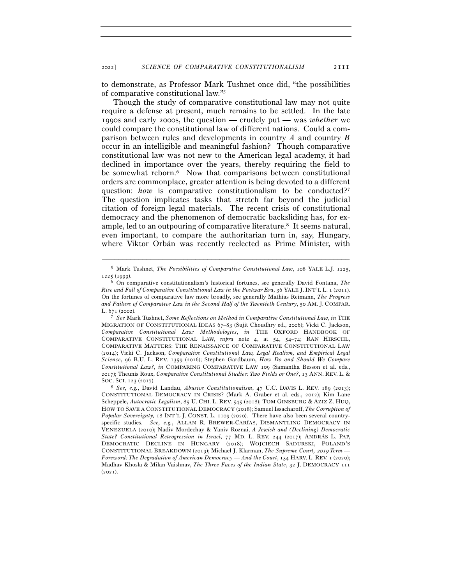to demonstrate, as Professor Mark Tushnet once did, "the possibilities of comparative constitutional law."5

Though the study of comparative constitutional law may not quite require a defense at present, much remains to be settled. In the late 1990s and early 2000s, the question — crudely put — was *whether* we could compare the constitutional law of different nations. Could a comparison between rules and developments in country *A* and country *B* occur in an intelligible and meaningful fashion? Though comparative constitutional law was not new to the American legal academy, it had declined in importance over the years, thereby requiring the field to be somewhat reborn.6 Now that comparisons between constitutional orders are commonplace, greater attention is being devoted to a different question: *how* is comparative constitutionalism to be conducted?<sup>7</sup> The question implicates tasks that stretch far beyond the judicial citation of foreign legal materials. The recent crisis of constitutional democracy and the phenomenon of democratic backsliding has, for example, led to an outpouring of comparative literature.8 It seems natural, even important, to compare the authoritarian turn in, say, Hungary, where Viktor Orbán was recently reelected as Prime Minister, with

<sup>–––––––––––––––––––––––––––––––––––––––––––––––––––––––––––––</sup> <sup>5</sup> Mark Tushnet, *The Possibilities of Comparative Constitutional Law*, 108 YALE L.J. 1225,

<sup>1225</sup> (<sup>1999</sup>). 6 On comparative constitutionalism's historical fortunes, see generally David Fontana, *The Rise and Fall of Comparative Constitutional Law in the Postwar Era*, 36 YALE J. INT'L L. 1 (2011). On the fortunes of comparative law more broadly, see generally Mathias Reimann, *The Progress and Failure of Comparative Law in the Second Half of the Twentieth Century*, 50 AM. J. COMPAR. L. 671 (<sup>2002</sup>). 7 *See* Mark Tushnet, *Some Reflections on Method in Comparative Constitutional Law*, *in* THE

MIGRATION OF CONSTITUTIONAL IDEAS 67–83 (Sujit Choudhry ed., 2006); Vicki C. Jackson, *Comparative Constitutional Law: Methodologies*, *in* THE OXFORD HANDBOOK OF COMPARATIVE CONSTITUTIONAL LAW, *supra* note 4, at 54, 54–74; RAN HIRSCHL, COMPARATIVE MATTERS: THE RENAISSANCE OF COMPARATIVE CONSTITUTIONAL LAW (2014); Vicki C. Jackson, *Comparative Constitutional Law, Legal Realism, and Empirical Legal Science*, 96 B.U. L. REV. 1359 (2016); Stephen Gardbaum, *How Do and Should We Compare Constitutional Law?*, *in* COMPARING COMPARATIVE LAW 109 (Samantha Besson et al. eds., 2017); Theunis Roux, *Comparative Constitutional Studies: Two Fields or One?*, 13 ANN. REV. L. &

SOC. SCI. 123 (<sup>2017</sup>). 8 *See, e.g.*, David Landau, *Abusive Constitutionalism*, 47 U.C. DAVIS L. REV. 189 (2013); CONSTITUTIONAL DEMOCRACY IN CRISIS? (Mark A. Graber et al. eds., 2012); Kim Lane Scheppele, *Autocratic Legalism*, 85 U. CHI. L. REV. 545 (2018); TOM GINSBURG & AZIZ Z. HUQ, HOW TO SAVE A CONSTITUTIONAL DEMOCRACY (2018); Samuel Issacharoff, *The Corruption of Popular Sovereignty,* 18 INT'L J. CONST. L. 1109 (2020). There have also been several countryspecific studies. *See, e.g.*, ALLAN R. BREWER-CARÍAS, DISMANTLING DEMOCRACY IN VENEZUELA (2010); Nadiv Mordechay & Yaniv Roznai, *A Jewish and (Declining) Democratic State? Constitutional Retrogression in Israel*, 77 MD. L. REV. 244 (2017); ANDRÁS L. PAP, DEMOCRATIC DECLINE IN HUNGARY (2018); WOJCIECH SADURSKI, POLAND'S CONSTITUTIONAL BREAKDOWN (2019); Michael J. Klarman, *The Supreme Court,* 2019 *Term — Foreword: The Degradation of American Democracy* — *And the Court*, 134 HARV. L. REV. 1 (2020); Madhav Khosla & Milan Vaishnav, *The Three Faces of the Indian State*, 32 J. DEMOCRACY 111  $(2021)$ .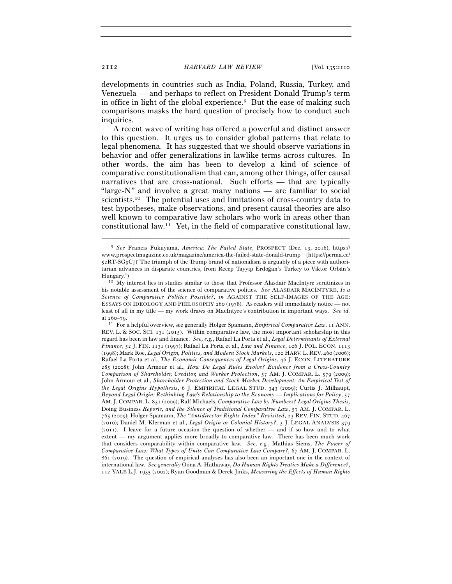developments in countries such as India, Poland, Russia, Turkey, and Venezuela — and perhaps to reflect on President Donald Trump's term in office in light of the global experience.<sup>9</sup> But the ease of making such comparisons masks the hard question of precisely how to conduct such inquiries.

A recent wave of writing has offered a powerful and distinct answer to this question. It urges us to consider global patterns that relate to legal phenomena. It has suggested that we should observe variations in behavior and offer generalizations in lawlike terms across cultures. In other words, the aim has been to develop a kind of science of comparative constitutionalism that can, among other things, offer causal narratives that are cross-national. Such efforts — that are typically "large-N" and involve a great many nations — are familiar to social scientists.10 The potential uses and limitations of cross-country data to test hypotheses, make observations, and present causal theories are also well known to comparative law scholars who work in areas other than constitutional law.11 Yet, in the field of comparative constitutional law,

<sup>9</sup> *See* Francis Fukuyama, *America: The Failed State*, PROSPECT (Dec. 13, 2016), https:// www.prospectmagazine.co.uk/magazine/america-the-failed-state-donald-trump [https://perma.cc/ 52RT-SG9C] ("The triumph of the Trump brand of nationalism is arguably of a piece with authoritarian advances in disparate countries, from Recep Tayyip Erdoğan's Turkey to Viktor Orbán's Hungary.") 10 My interest lies in studies similar to those that Professor Alasdair MacIntyre scrutinizes in

his notable assessment of the science of comparative politics. *See* ALASDAIR MACINTYRE, *Is a Science of Comparative Politics Possible?*, *in* AGAINST THE SELF-IMAGES OF THE AGE: ESSAYS ON IDEOLOGY AND PHILOSOPHY 260 (1978). As readers will immediately notice — not least of all in my title — my work draws on MacIntyre's contribution in important ways. *See id.* at 260–<sup>79</sup>. 11 For a helpful overview, see generally Holger Spamann, *Empirical Comparative Law*, 11 ANN.

REV. L. & SOC. SCI. 131 (2015). Within comparative law, the most important scholarship in this regard has been in law and finance. *See, e.g.*, Rafael La Porta et al., *Legal Determinants of External Finance*, 52 J. FIN. 1131 (1997); Rafael La Porta et al., *Law and Finance*, 106 J. POL. ECON. 1113 (1998); Mark Roe, *Legal Origin, Politics, and Modern Stock Markets*, 120 HARV. L. REV. 460 (2006); Rafael La Porta et al., *The Economic Consequences of Legal Origins*, 46 J. ECON. LITERATURE 285 (2008); John Armour et al., *How Do Legal Rules Evolve? Evidence from a Cross-Country Comparison of Shareholder, Creditor, and Worker Protection*, 57 AM. J. COMPAR. L. 579 (2009); John Armour et al., *Shareholder Protection and Stock Market Development: An Empirical Test of the Legal Origins Hypothesis*, 6 J. EMPIRICAL LEGAL STUD. 343 (2009); Curtis J. Milhaupt, *Beyond Legal Origin: Rethinking Law's Relationship to the Economy — Implications for Policy*, 57 AM. J. COMPAR. L. 831 (2009); Ralf Michaels, *Comparative Law by Numbers? Legal Origins Thesis,*  Doing Business *Reports, and the Silence of Traditional Comparative Law*, 57 AM. J. COMPAR. L. 765 (2009); Holger Spamann, *The "Antidirector Rights Index" Revisited*, 23 REV. FIN. STUD. 467 (2010); Daniel M. Klerman et al., *Legal Origin or Colonial History?*, 3 J. LEGAL ANALYSIS 379 (2011). I leave for a future occasion the question of whether — and if so how and to what extent — my argument applies more broadly to comparative law. There has been much work that considers comparability within comparative law. *See, e.g.*, Mathias Siems, *The Power of Comparative Law: What Types of Units Can Comparative Law Compare?*, 67 AM. J. COMPAR. L. 861 (2019). The question of empirical analyses has also been an important one in the context of international law. *See generally* Oona A. Hathaway, *Do Human Rights Treaties Make a Difference?*, 112 YALE L.J. 1935 (2002); Ryan Goodman & Derek Jinks, *Measuring the Effects of Human Rights*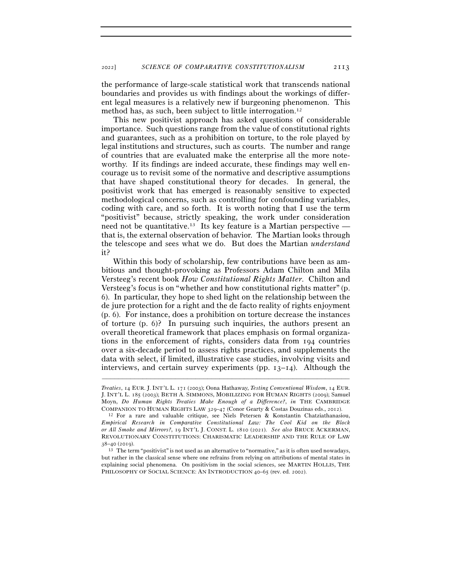the performance of large-scale statistical work that transcends national boundaries and provides us with findings about the workings of different legal measures is a relatively new if burgeoning phenomenon. This method has, as such, been subject to little interrogation.<sup>12</sup>

This new positivist approach has asked questions of considerable importance. Such questions range from the value of constitutional rights and guarantees, such as a prohibition on torture, to the role played by legal institutions and structures, such as courts. The number and range of countries that are evaluated make the enterprise all the more noteworthy. If its findings are indeed accurate, these findings may well encourage us to revisit some of the normative and descriptive assumptions that have shaped constitutional theory for decades. In general, the positivist work that has emerged is reasonably sensitive to expected methodological concerns, such as controlling for confounding variables, coding with care, and so forth. It is worth noting that I use the term "positivist" because, strictly speaking, the work under consideration need not be quantitative.<sup>13</sup> Its key feature is a Martian perspective that is, the external observation of behavior. The Martian looks through the telescope and sees what we do. But does the Martian *understand* it?

Within this body of scholarship, few contributions have been as ambitious and thought-provoking as Professors Adam Chilton and Mila Versteeg's recent book *How Constitutional Rights Matter*. Chilton and Versteeg's focus is on "whether and how constitutional rights matter" (p. 6). In particular, they hope to shed light on the relationship between the de jure protection for a right and the de facto reality of rights enjoyment (p. 6). For instance, does a prohibition on torture decrease the instances of torture (p. 6)? In pursuing such inquiries, the authors present an overall theoretical framework that places emphasis on formal organizations in the enforcement of rights, considers data from 194 countries over a six-decade period to assess rights practices, and supplements the data with select, if limited, illustrative case studies, involving visits and interviews, and certain survey experiments (pp.  $13-14$ ). Although the

*Treaties*, 14 EUR. J. INT'L L. 171 (2003); Oona Hathaway, *Testing Conventional Wisdom*, 14 EUR. J. INT'L L. 185 (2003); BETH A. SIMMONS, MOBILIZING FOR HUMAN RIGHTS (2009); Samuel Moyn, *Do Human Rights Treaties Make Enough of a Difference?*, *in* THE CAMBRIDGE COMPANION TO HUMAN RIGHTS LAW <sup>329</sup>–47 (Conor Gearty & Costas Douzinas eds., <sup>2012</sup>). 12 For a rare and valuable critique, see Niels Petersen & Konstantin Chatziathanasiou,

*Empirical Research in Comparative Constitutional Law: The Cool Kid on the Block or All Smoke and Mirrors?*, 19 INT'L J. CONST. L. 1810 (2021). *See also* BRUCE ACKERMAN, REVOLUTIONARY CONSTITUTIONS: CHARISMATIC LEADERSHIP AND THE RULE OF LAW

 $38-40$  (2019).<br><sup>13</sup> The term "positivist" is not used as an alternative to "normative," as it is often used nowadays, but rather in the classical sense where one refrains from relying on attributions of mental states in explaining social phenomena. On positivism in the social sciences, see MARTIN HOLLIS, THE PHILOSOPHY OF SOCIAL SCIENCE: AN INTRODUCTION 40-65 (rev. ed. 2002).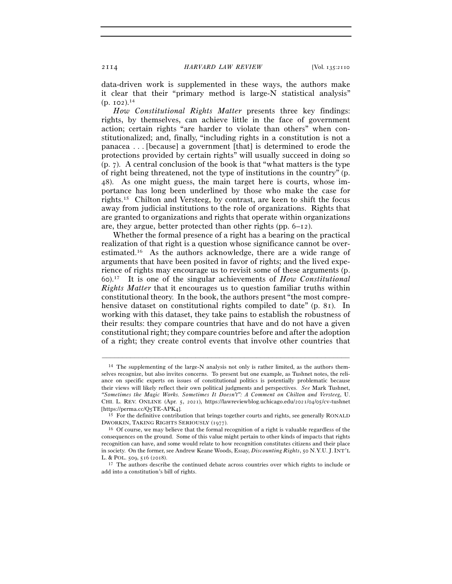data-driven work is supplemented in these ways, the authors make it clear that their "primary method is large-N statistical analysis" (p. 102).14

*How Constitutional Rights Matter* presents three key findings: rights, by themselves, can achieve little in the face of government action; certain rights "are harder to violate than others" when constitutionalized; and, finally, "including rights in a constitution is not a panacea . . . [because] a government [that] is determined to erode the protections provided by certain rights" will usually succeed in doing so (p. 7). A central conclusion of the book is that "what matters is the type of right being threatened, not the type of institutions in the country" (p. 48). As one might guess, the main target here is courts, whose importance has long been underlined by those who make the case for rights.15 Chilton and Versteeg, by contrast, are keen to shift the focus away from judicial institutions to the role of organizations. Rights that are granted to organizations and rights that operate within organizations are, they argue, better protected than other rights (pp. 6–12).

Whether the formal presence of a right has a bearing on the practical realization of that right is a question whose significance cannot be overestimated.16 As the authors acknowledge, there are a wide range of arguments that have been posited in favor of rights; and the lived experience of rights may encourage us to revisit some of these arguments (p. 60).17 It is one of the singular achievements of *How Constitutional Rights Matter* that it encourages us to question familiar truths within constitutional theory. In the book, the authors present "the most comprehensive dataset on constitutional rights compiled to date" (p. 81). In working with this dataset, they take pains to establish the robustness of their results: they compare countries that have and do not have a given constitutional right; they compare countries before and after the adoption of a right; they create control events that involve other countries that

<sup>14</sup> The supplementing of the large-N analysis not only is rather limited, as the authors themselves recognize, but also invites concerns. To present but one example, as Tushnet notes, the reliance on specific experts on issues of constitutional politics is potentially problematic because their views will likely reflect their own political judgments and perspectives. *See* Mark Tushnet, *"Sometimes the Magic Works. Sometimes It Doesn't": A Comment on Chilton and Versteeg*, U. CHI. L. REV. ONLINE (Apr. 5, 2021), https://lawreviewblog.uchicago.edu/2021/04/05/cv-tushnet [https://perma.cc/Q5TE-APK<sup>4</sup>]. 15 For the definitive contribution that brings together courts and rights, see generally RONALD

DWORKIN, TAKING RIGHTS SERIOUSLY (<sup>1977</sup>). 16 Of course, we may believe that the formal recognition of a right is valuable regardless of the

consequences on the ground. Some of this value might pertain to other kinds of impacts that rights recognition can have, and some would relate to how recognition constitutes citizens and their place in society. On the former, see Andrew Keane Woods, Essay, *Discounting Rights*, 50 N.Y.U. J.INT'L L. & POL. 509, 516 (<sup>2018</sup>). 17 The authors describe the continued debate across countries over which rights to include or

add into a constitution's bill of rights.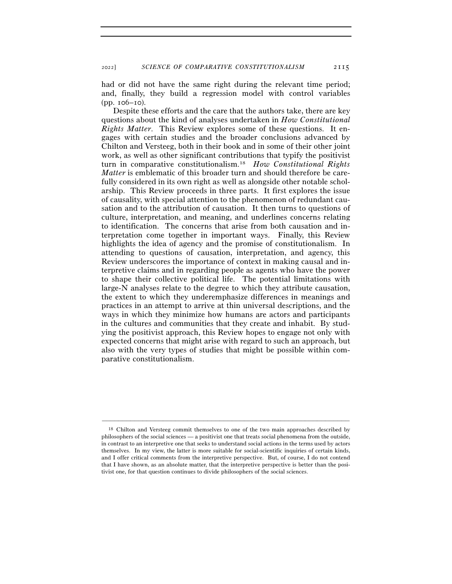had or did not have the same right during the relevant time period; and, finally, they build a regression model with control variables (pp. 106–10).

Despite these efforts and the care that the authors take, there are key questions about the kind of analyses undertaken in *How Constitutional Rights Matter*. This Review explores some of these questions. It engages with certain studies and the broader conclusions advanced by Chilton and Versteeg, both in their book and in some of their other joint work, as well as other significant contributions that typify the positivist turn in comparative constitutionalism.18 *How Constitutional Rights Matter* is emblematic of this broader turn and should therefore be carefully considered in its own right as well as alongside other notable scholarship. This Review proceeds in three parts. It first explores the issue of causality, with special attention to the phenomenon of redundant causation and to the attribution of causation. It then turns to questions of culture, interpretation, and meaning, and underlines concerns relating to identification. The concerns that arise from both causation and interpretation come together in important ways. Finally, this Review highlights the idea of agency and the promise of constitutionalism. In attending to questions of causation, interpretation, and agency, this Review underscores the importance of context in making causal and interpretive claims and in regarding people as agents who have the power to shape their collective political life. The potential limitations with large-N analyses relate to the degree to which they attribute causation, the extent to which they underemphasize differences in meanings and practices in an attempt to arrive at thin universal descriptions, and the ways in which they minimize how humans are actors and participants in the cultures and communities that they create and inhabit. By studying the positivist approach, this Review hopes to engage not only with expected concerns that might arise with regard to such an approach, but also with the very types of studies that might be possible within comparative constitutionalism.

<sup>18</sup> Chilton and Versteeg commit themselves to one of the two main approaches described by philosophers of the social sciences — a positivist one that treats social phenomena from the outside, in contrast to an interpretive one that seeks to understand social actions in the terms used by actors themselves. In my view, the latter is more suitable for social-scientific inquiries of certain kinds, and I offer critical comments from the interpretive perspective. But, of course, I do not contend that I have shown, as an absolute matter, that the interpretive perspective is better than the positivist one, for that question continues to divide philosophers of the social sciences.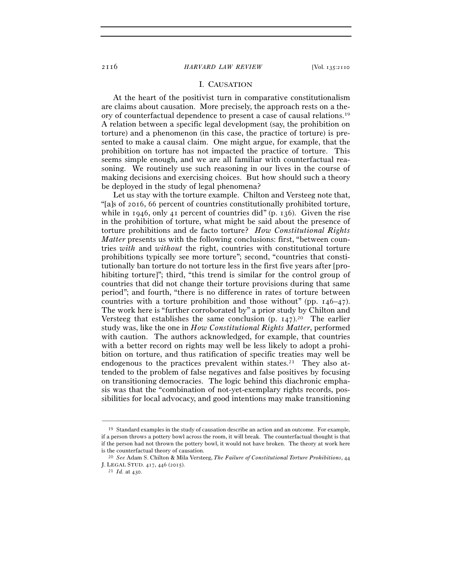## I. CAUSATION

At the heart of the positivist turn in comparative constitutionalism are claims about causation. More precisely, the approach rests on a theory of counterfactual dependence to present a case of causal relations.19 A relation between a specific legal development (say, the prohibition on torture) and a phenomenon (in this case, the practice of torture) is presented to make a causal claim. One might argue, for example, that the prohibition on torture has not impacted the practice of torture. This seems simple enough, and we are all familiar with counterfactual reasoning. We routinely use such reasoning in our lives in the course of making decisions and exercising choices. But how should such a theory be deployed in the study of legal phenomena?

Let us stay with the torture example. Chilton and Versteeg note that, "[a]s of 2016, 66 percent of countries constitutionally prohibited torture, while in 1946, only 41 percent of countries did" (p. 136). Given the rise in the prohibition of torture, what might be said about the presence of torture prohibitions and de facto torture? *How Constitutional Rights Matter* presents us with the following conclusions: first, "between countries *with* and *without* the right, countries with constitutional torture prohibitions typically see more torture"; second, "countries that constitutionally ban torture do not torture less in the first five years after [prohibiting torture]"; third, "this trend is similar for the control group of countries that did not change their torture provisions during that same period"; and fourth, "there is no difference in rates of torture between countries with a torture prohibition and those without" (pp. 146–47). The work here is "further corroborated by" a prior study by Chilton and Versteeg that establishes the same conclusion  $(p, 147)$ .<sup>20</sup> The earlier study was, like the one in *How Constitutional Rights Matter*, performed with caution. The authors acknowledged, for example, that countries with a better record on rights may well be less likely to adopt a prohibition on torture, and thus ratification of specific treaties may well be endogenous to the practices prevalent within states.<sup>21</sup> They also attended to the problem of false negatives and false positives by focusing on transitioning democracies. The logic behind this diachronic emphasis was that the "combination of not-yet-exemplary rights records, possibilities for local advocacy, and good intentions may make transitioning

<sup>19</sup> Standard examples in the study of causation describe an action and an outcome. For example, if a person throws a pottery bowl across the room, it will break. The counterfactual thought is that if the person had not thrown the pottery bowl, it would not have broken. The theory at work here

is the counterfactual theory of causation. 20 *See* Adam S. Chilton & Mila Versteeg, *The Failure of Constitutional Torture Prohibitions*, <sup>44</sup> J. LEGAL STUD. <sup>417</sup>, 446 (<sup>2015</sup>). 21 *Id.* at 430.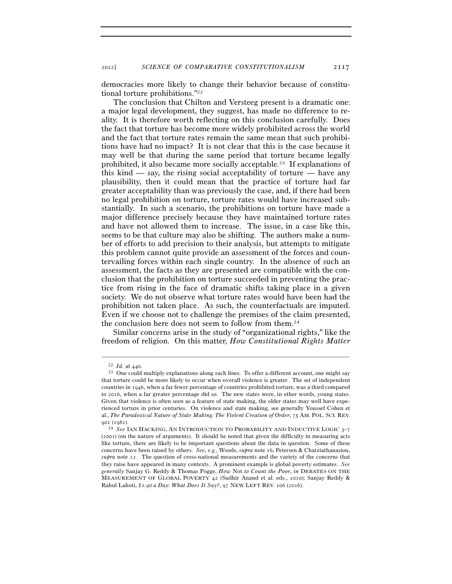democracies more likely to change their behavior because of constitutional torture prohibitions."22

The conclusion that Chilton and Versteeg present is a dramatic one: a major legal development, they suggest, has made no difference to reality. It is therefore worth reflecting on this conclusion carefully. Does the fact that torture has become more widely prohibited across the world and the fact that torture rates remain the same mean that such prohibitions have had no impact? It is not clear that this is the case because it may well be that during the same period that torture became legally prohibited, it also became more socially acceptable.23 If explanations of this kind — say, the rising social acceptability of torture — have any plausibility, then it could mean that the practice of torture had far greater acceptability than was previously the case, and, if there had been no legal prohibition on torture, torture rates would have increased substantially. In such a scenario, the prohibitions on torture have made a major difference precisely because they have maintained torture rates and have not allowed them to increase. The issue, in a case like this, seems to be that culture may also be shifting. The authors make a number of efforts to add precision to their analysis, but attempts to mitigate this problem cannot quite provide an assessment of the forces and countervailing forces within each single country. In the absence of such an assessment, the facts as they are presented are compatible with the conclusion that the prohibition on torture succeeded in preventing the practice from rising in the face of dramatic shifts taking place in a given society. We do not observe what torture rates would have been had the prohibition not taken place. As such, the counterfactuals are imputed. Even if we choose not to challenge the premises of the claim presented, the conclusion here does not seem to follow from them.24

Similar concerns arise in the study of "organizational rights," like the freedom of religion. On this matter, *How Constitutional Rights Matter*

 $^{22}$   $\emph{Id.}$  at 440.  $^{23}$  One could multiply explanations along such lines. To offer a different account, one might say that torture could be more likely to occur when overall violence is greater. The set of independent countries in 1946, when a far fewer percentage of countries prohibited torture, was a third compared to 2016, when a far greater percentage did so. The new states were, in other words, young states. Given that violence is often seen as a feature of state making, the older states may well have experienced torture in prior centuries. On violence and state making, see generally Youssef Cohen et al., *The Paradoxical Nature of State Making: The Violent Creation of Order*, 75 AM. POL. SCI. REV. 901 (1981).<br><sup>24</sup> *See* IAN HACKING, AN INTRODUCTION TO PROBABILITY AND INDUCTIVE LOGIC 3–7

<sup>(</sup>2001) (on the nature of arguments). It should be noted that given the difficulty in measuring acts like torture, there are likely to be important questions about the data in question. Some of these concerns have been raised by others. *See, e.g.*, Woods, *supra* note 16; Petersen & Chatziathanasiou, *supra* note 12. The question of cross-national measurements and the variety of the concerns that they raise have appeared in many contexts. A prominent example is global poverty estimates. *See generally* Sanjay G. Reddy & Thomas Pogge, *How* Not *to Count the Poor*, *in* DEBATES ON THE MEASUREMENT OF GLOBAL POVERTY 42 (Sudhir Anand et al. eds., 2010); Sanjay Reddy & Rahul Lahoti, *\$*1*.*90 *a Day: What Does It Say?*, 97 NEW LEFT REV. 106 (2016).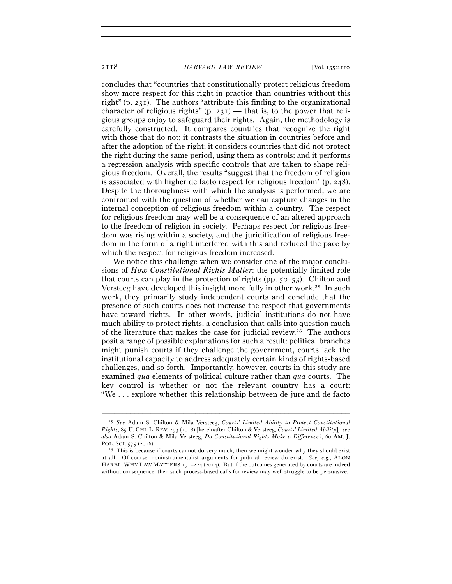concludes that "countries that constitutionally protect religious freedom show more respect for this right in practice than countries without this right" (p. 231). The authors "attribute this finding to the organizational character of religious rights"  $(p, 231)$  — that is, to the power that religious groups enjoy to safeguard their rights. Again, the methodology is carefully constructed. It compares countries that recognize the right with those that do not; it contrasts the situation in countries before and after the adoption of the right; it considers countries that did not protect the right during the same period, using them as controls; and it performs a regression analysis with specific controls that are taken to shape religious freedom. Overall, the results "suggest that the freedom of religion is associated with higher de facto respect for religious freedom" (p. 248). Despite the thoroughness with which the analysis is performed, we are confronted with the question of whether we can capture changes in the internal conception of religious freedom within a country. The respect for religious freedom may well be a consequence of an altered approach to the freedom of religion in society. Perhaps respect for religious freedom was rising within a society, and the juridification of religious freedom in the form of a right interfered with this and reduced the pace by which the respect for religious freedom increased.

We notice this challenge when we consider one of the major conclusions of *How Constitutional Rights Matter*: the potentially limited role that courts can play in the protection of rights (pp. 50–53). Chilton and Versteeg have developed this insight more fully in other work.25 In such work, they primarily study independent courts and conclude that the presence of such courts does not increase the respect that governments have toward rights. In other words, judicial institutions do not have much ability to protect rights, a conclusion that calls into question much of the literature that makes the case for judicial review.26 The authors posit a range of possible explanations for such a result: political branches might punish courts if they challenge the government, courts lack the institutional capacity to address adequately certain kinds of rights-based challenges, and so forth. Importantly, however, courts in this study are examined *qua* elements of political culture rather than *qua* courts. The key control is whether or not the relevant country has a court: "We . . . explore whether this relationship between de jure and de facto

<sup>25</sup> *See* Adam S. Chilton & Mila Versteeg, *Courts' Limited Ability to Protect Constitutional Rights*, 85 U. CHI. L. REV. 293 (2018) [hereinafter Chilton & Versteeg, *Courts' Limited Ability*]; *see also* Adam S. Chilton & Mila Versteeg, *Do Constitutional Rights Make a Difference?*, 60 AM. J. POL. SCI. 575 (2016).<br><sup>26</sup> This is because if courts cannot do very much, then we might wonder why they should exist

at all. Of course, noninstrumentalist arguments for judicial review do exist. *See, e.g.*, ALON HAREL, WHY LAW MATTERS 191–224 (2014). But if the outcomes generated by courts are indeed without consequence, then such process-based calls for review may well struggle to be persuasive.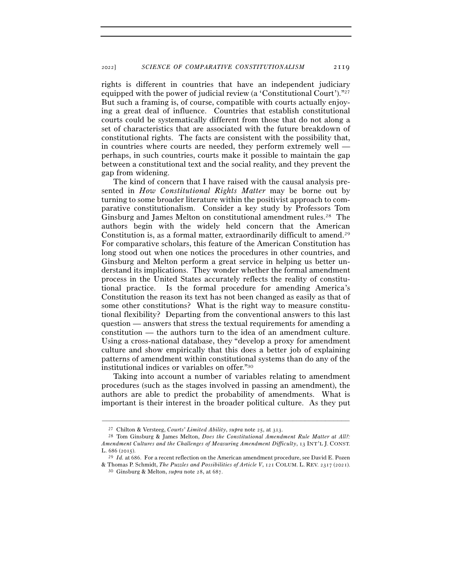rights is different in countries that have an independent judiciary equipped with the power of judicial review (a 'Constitutional Court')."27 But such a framing is, of course, compatible with courts actually enjoying a great deal of influence. Countries that establish constitutional courts could be systematically different from those that do not along a set of characteristics that are associated with the future breakdown of constitutional rights. The facts are consistent with the possibility that, in countries where courts are needed, they perform extremely well perhaps, in such countries, courts make it possible to maintain the gap between a constitutional text and the social reality, and they prevent the gap from widening.

The kind of concern that I have raised with the causal analysis presented in *How Constitutional Rights Matter* may be borne out by turning to some broader literature within the positivist approach to comparative constitutionalism. Consider a key study by Professors Tom Ginsburg and James Melton on constitutional amendment rules.28 The authors begin with the widely held concern that the American Constitution is, as a formal matter, extraordinarily difficult to amend.29 For comparative scholars, this feature of the American Constitution has long stood out when one notices the procedures in other countries, and Ginsburg and Melton perform a great service in helping us better understand its implications. They wonder whether the formal amendment process in the United States accurately reflects the reality of constitutional practice. Is the formal procedure for amending America's Constitution the reason its text has not been changed as easily as that of some other constitutions? What is the right way to measure constitutional flexibility? Departing from the conventional answers to this last question — answers that stress the textual requirements for amending a constitution — the authors turn to the idea of an amendment culture. Using a cross-national database, they "develop a proxy for amendment culture and show empirically that this does a better job of explaining patterns of amendment within constitutional systems than do any of the institutional indices or variables on offer."30

Taking into account a number of variables relating to amendment procedures (such as the stages involved in passing an amendment), the authors are able to predict the probability of amendments. What is important is their interest in the broader political culture. As they put

<sup>27</sup> Chilton & Versteeg, *Courts' Limited Ability*, *supra* note 25, at 313.

<sup>28</sup> Tom Ginsburg & James Melton, *Does the Constitutional Amendment Rule Matter at All?: Amendment Cultures and the Challenges of Measuring Amendment Difficulty*, 13 INT'L J. CONST.

L. 686 (<sup>2015</sup>). 29 *Id.* at 686. For a recent reflection on the American amendment procedure, see David E. Pozen & Thomas P. Schmidt, *The Puzzles and Possibilities of Article V*, 121 COLUM. L. REV. 2317 (<sup>2021</sup>). 30 Ginsburg & Melton, *supra* note 28, at 687.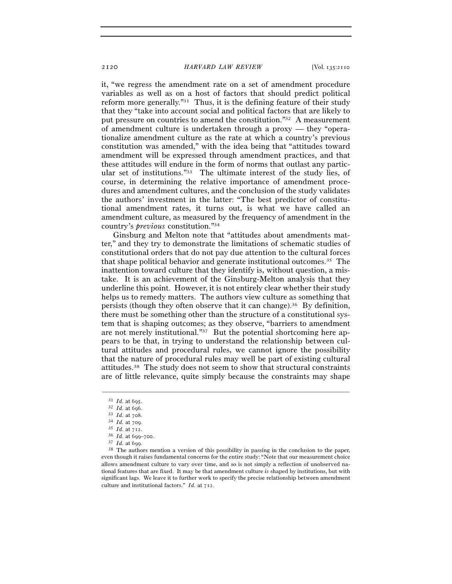it, "we regress the amendment rate on a set of amendment procedure variables as well as on a host of factors that should predict political reform more generally."31 Thus, it is the defining feature of their study that they "take into account social and political factors that are likely to put pressure on countries to amend the constitution."32 A measurement of amendment culture is undertaken through a proxy — they "operationalize amendment culture as the rate at which a country's previous constitution was amended," with the idea being that "attitudes toward amendment will be expressed through amendment practices, and that these attitudes will endure in the form of norms that outlast any particular set of institutions."33 The ultimate interest of the study lies, of course, in determining the relative importance of amendment procedures and amendment cultures, and the conclusion of the study validates the authors' investment in the latter: "The best predictor of constitutional amendment rates, it turns out, is what we have called an amendment culture, as measured by the frequency of amendment in the country's *previous* constitution."34

Ginsburg and Melton note that "attitudes about amendments matter," and they try to demonstrate the limitations of schematic studies of constitutional orders that do not pay due attention to the cultural forces that shape political behavior and generate institutional outcomes.35 The inattention toward culture that they identify is, without question, a mistake. It is an achievement of the Ginsburg-Melton analysis that they underline this point. However, it is not entirely clear whether their study helps us to remedy matters. The authors view culture as something that persists (though they often observe that it can change).<sup>36</sup> By definition, there must be something other than the structure of a constitutional system that is shaping outcomes; as they observe, "barriers to amendment are not merely institutional."37 But the potential shortcoming here appears to be that, in trying to understand the relationship between cultural attitudes and procedural rules, we cannot ignore the possibility that the nature of procedural rules may well be part of existing cultural attitudes.38 The study does not seem to show that structural constraints are of little relevance, quite simply because the constraints may shape

<sup>31</sup> *Id.* at 695.<br>
32 *Id.* at 696.<br>
33 *Id.* at 708.<br>
34 *Id.* at 709.<br>
35 *Id.* at 712.<br>
36 *Id.* at 699–700.<br>
37 *Id.* at 699.<br>
38 The authors mention a version of this possibility in passing in the conclusion to the pa even though it raises fundamental concerns for the entire study: "Note that our measurement choice allows amendment culture to vary over time, and so is not simply a reflection of unobserved national features that are fixed. It may be that amendment culture *is* shaped by institutions, but with significant lags. We leave it to further work to specify the precise relationship between amendment culture and institutional factors." *Id.* at 712.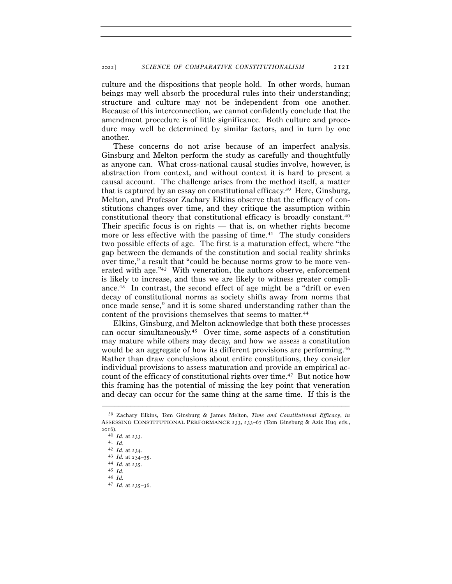culture and the dispositions that people hold. In other words, human beings may well absorb the procedural rules into their understanding; structure and culture may not be independent from one another. Because of this interconnection, we cannot confidently conclude that the amendment procedure is of little significance. Both culture and procedure may well be determined by similar factors, and in turn by one another.

These concerns do not arise because of an imperfect analysis. Ginsburg and Melton perform the study as carefully and thoughtfully as anyone can. What cross-national causal studies involve, however, is abstraction from context, and without context it is hard to present a causal account. The challenge arises from the method itself, a matter that is captured by an essay on constitutional efficacy.39 Here, Ginsburg, Melton, and Professor Zachary Elkins observe that the efficacy of constitutions changes over time, and they critique the assumption within constitutional theory that constitutional efficacy is broadly constant.40 Their specific focus is on rights — that is, on whether rights become more or less effective with the passing of time.<sup>41</sup> The study considers two possible effects of age. The first is a maturation effect, where "the gap between the demands of the constitution and social reality shrinks over time," a result that "could be because norms grow to be more venerated with age."42 With veneration, the authors observe, enforcement is likely to increase, and thus we are likely to witness greater compliance.43 In contrast, the second effect of age might be a "drift or even decay of constitutional norms as society shifts away from norms that once made sense," and it is some shared understanding rather than the content of the provisions themselves that seems to matter.<sup>44</sup>

Elkins, Ginsburg, and Melton acknowledge that both these processes can occur simultaneously.45 Over time, some aspects of a constitution may mature while others may decay, and how we assess a constitution would be an aggregate of how its different provisions are performing.46 Rather than draw conclusions about entire constitutions, they consider individual provisions to assess maturation and provide an empirical account of the efficacy of constitutional rights over time.<sup>47</sup> But notice how this framing has the potential of missing the key point that veneration and decay can occur for the same thing at the same time. If this is the

<sup>39</sup> Zachary Elkins, Tom Ginsburg & James Melton, *Time and Constitutional Efficacy*, *in* ASSESSING CONSTITUTIONAL PERFORMANCE 233, 233–67 (Tom Ginsburg & Aziz Huq eds.,  $^{2016)}$ .<br><sup>40</sup> *Id.* at 233.

<sup>40</sup> *Id.* at <sup>233</sup>. 41 *Id.*<sup>42</sup> *Id.* at <sup>234</sup>. 43 *Id.* at 234–<sup>35</sup>. 44 *Id.* at <sup>235</sup>. 45 *Id.*

<sup>46</sup> *Id.*

 $^{47}$   $\,Id.$  at  $^{235-36.}$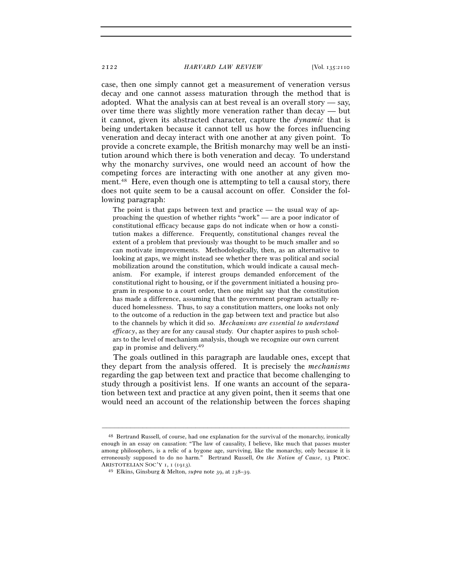case, then one simply cannot get a measurement of veneration versus decay and one cannot assess maturation through the method that is adopted. What the analysis can at best reveal is an overall story — say, over time there was slightly more veneration rather than decay — but it cannot, given its abstracted character, capture the *dynamic* that is being undertaken because it cannot tell us how the forces influencing veneration and decay interact with one another at any given point. To provide a concrete example, the British monarchy may well be an institution around which there is both veneration and decay. To understand why the monarchy survives, one would need an account of how the competing forces are interacting with one another at any given moment.48 Here, even though one is attempting to tell a causal story, there does not quite seem to be a causal account on offer. Consider the following paragraph:

The point is that gaps between text and practice — the usual way of approaching the question of whether rights "work" — are a poor indicator of constitutional efficacy because gaps do not indicate when or how a constitution makes a difference. Frequently, constitutional changes reveal the extent of a problem that previously was thought to be much smaller and so can motivate improvements. Methodologically, then, as an alternative to looking at gaps, we might instead see whether there was political and social mobilization around the constitution, which would indicate a causal mechanism. For example, if interest groups demanded enforcement of the constitutional right to housing, or if the government initiated a housing program in response to a court order, then one might say that the constitution has made a difference, assuming that the government program actually reduced homelessness. Thus, to say a constitution matters, one looks not only to the outcome of a reduction in the gap between text and practice but also to the channels by which it did so. *Mechanisms are essential to understand efficacy*, as they are for any causal study. Our chapter aspires to push scholars to the level of mechanism analysis, though we recognize our own current gap in promise and delivery.49

The goals outlined in this paragraph are laudable ones, except that they depart from the analysis offered. It is precisely the *mechanisms* regarding the gap between text and practice that become challenging to study through a positivist lens. If one wants an account of the separation between text and practice at any given point, then it seems that one would need an account of the relationship between the forces shaping

<sup>48</sup> Bertrand Russell, of course, had one explanation for the survival of the monarchy, ironically enough in an essay on causation: "The law of causality, I believe, like much that passes muster among philosophers, is a relic of a bygone age, surviving, like the monarchy, only because it is erroneously supposed to do no harm." Bertrand Russell, *On the Notion of Cause*, 13 PROC. ARISTOTELIAN SOC'Y <sup>1</sup>, 1 (<sup>1913</sup>). 49 Elkins, Ginsburg & Melton, *supra* note 39, at 238–39.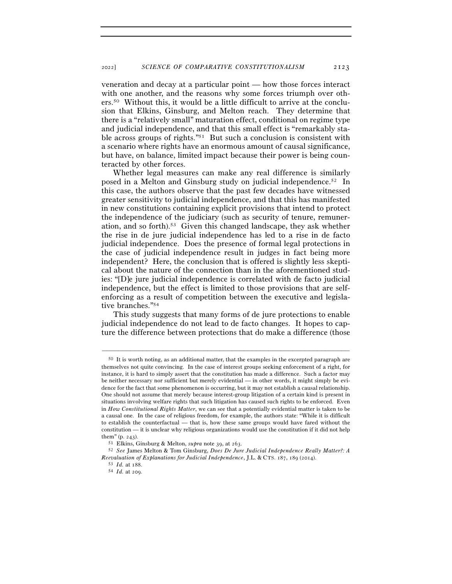veneration and decay at a particular point — how those forces interact with one another, and the reasons why some forces triumph over others.50 Without this, it would be a little difficult to arrive at the conclusion that Elkins, Ginsburg, and Melton reach. They determine that there is a "relatively small" maturation effect, conditional on regime type and judicial independence, and that this small effect is "remarkably stable across groups of rights."51 But such a conclusion is consistent with a scenario where rights have an enormous amount of causal significance, but have, on balance, limited impact because their power is being counteracted by other forces.

Whether legal measures can make any real difference is similarly posed in a Melton and Ginsburg study on judicial independence.52 In this case, the authors observe that the past few decades have witnessed greater sensitivity to judicial independence, and that this has manifested in new constitutions containing explicit provisions that intend to protect the independence of the judiciary (such as security of tenure, remuneration, and so forth).53 Given this changed landscape, they ask whether the rise in de jure judicial independence has led to a rise in de facto judicial independence. Does the presence of formal legal protections in the case of judicial independence result in judges in fact being more independent? Here, the conclusion that is offered is slightly less skeptical about the nature of the connection than in the aforementioned studies: "[D]e jure judicial independence is correlated with de facto judicial independence, but the effect is limited to those provisions that are selfenforcing as a result of competition between the executive and legislative branches."54

This study suggests that many forms of de jure protections to enable judicial independence do not lead to de facto changes. It hopes to capture the difference between protections that do make a difference (those

<sup>50</sup> It is worth noting, as an additional matter, that the examples in the excerpted paragraph are themselves not quite convincing. In the case of interest groups seeking enforcement of a right, for instance, it is hard to simply assert that the constitution has made a difference. Such a factor may be neither necessary nor sufficient but merely evidential — in other words, it might simply be evidence for the fact that some phenomenon is occurring, but it may not establish a causal relationship. One should not assume that merely because interest-group litigation of a certain kind is present in situations involving welfare rights that such litigation has caused such rights to be enforced. Even in *How Constitutional Rights Matter*, we can see that a potentially evidential matter is taken to be a causal one. In the case of religious freedom, for example, the authors state: "While it is difficult to establish the counterfactual — that is, how these same groups would have fared without the constitution — it is unclear why religious organizations would use the constitution if it did not help them"  $(0. 243)$ .

them" (p. <sup>243</sup>). 51 Elkins, Ginsburg & Melton, *supra* note 39, at <sup>263</sup>. 52 *See* James Melton & Tom Ginsburg, *Does De Jure Judicial Independence Really Matter?: A Reevaluation of Explanations for Judicial Independence*, J.L. & CTS. 187, 189 (<sup>2014</sup>). 53 *Id.* at <sup>188</sup>. 54 *Id.* at 209.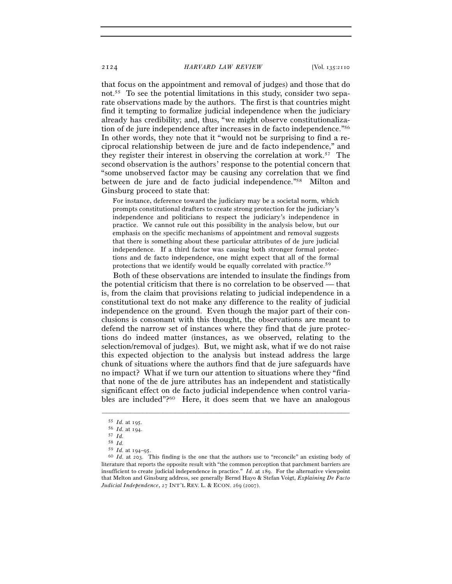that focus on the appointment and removal of judges) and those that do not.55 To see the potential limitations in this study, consider two separate observations made by the authors. The first is that countries might find it tempting to formalize judicial independence when the judiciary already has credibility; and, thus, "we might observe constitutionalization of de jure independence after increases in de facto independence."56 In other words, they note that it "would not be surprising to find a reciprocal relationship between de jure and de facto independence," and they register their interest in observing the correlation at work.57 The second observation is the authors' response to the potential concern that "some unobserved factor may be causing any correlation that we find between de jure and de facto judicial independence."58 Milton and Ginsburg proceed to state that:

For instance, deference toward the judiciary may be a societal norm, which prompts constitutional drafters to create strong protection for the judiciary's independence and politicians to respect the judiciary's independence in practice. We cannot rule out this possibility in the analysis below, but our emphasis on the specific mechanisms of appointment and removal suggests that there is something about these particular attributes of de jure judicial independence. If a third factor was causing both stronger formal protections and de facto independence, one might expect that all of the formal protections that we identify would be equally correlated with practice.59

Both of these observations are intended to insulate the findings from the potential criticism that there is no correlation to be observed — that is, from the claim that provisions relating to judicial independence in a constitutional text do not make any difference to the reality of judicial independence on the ground. Even though the major part of their conclusions is consonant with this thought, the observations are meant to defend the narrow set of instances where they find that de jure protections do indeed matter (instances, as we observed, relating to the selection/removal of judges). But, we might ask, what if we do not raise this expected objection to the analysis but instead address the large chunk of situations where the authors find that de jure safeguards have no impact? What if we turn our attention to situations where they "find that none of the de jure attributes has an independent and statistically significant effect on de facto judicial independence when control variables are included"?60 Here, it does seem that we have an analogous

<sup>55</sup> *Id.* at <sup>195</sup>. 56 *Id.* at <sup>194</sup>. 57 *Id.*

 $\begin{array}{ll} 58 & Id. \\ 59 & Id. \text{ at } 194-95. \end{array}$ 

<sup>59</sup> *Id.* at 194–<sup>95</sup>. 60 *Id.* at 203. This finding is the one that the authors use to "reconcile" an existing body of literature that reports the opposite result with "the common perception that parchment barriers are insufficient to create judicial independence in practice." *Id*. at 189. For the alternative viewpoint that Melton and Ginsburg address, see generally Bernd Hayo & Stefan Voigt, *Explaining De Facto Judicial Independence*, 27 INT'L REV. L. & ECON. 269 (2007).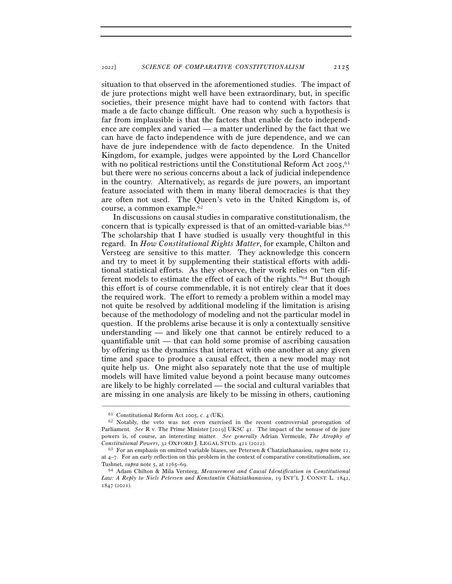situation to that observed in the aforementioned studies. The impact of de jure protections might well have been extraordinary, but, in specific societies, their presence might have had to contend with factors that made a de facto change difficult. One reason why such a hypothesis is far from implausible is that the factors that enable de facto independence are complex and varied — a matter underlined by the fact that we can have de facto independence with de jure dependence, and we can have de jure independence with de facto dependence. In the United Kingdom, for example, judges were appointed by the Lord Chancellor with no political restrictions until the Constitutional Reform Act 2005,<sup>61</sup> but there were no serious concerns about a lack of judicial independence in the country. Alternatively, as regards de jure powers, an important feature associated with them in many liberal democracies is that they are often not used. The Queen's veto in the United Kingdom is, of course, a common example.62

In discussions on causal studies in comparative constitutionalism, the concern that is typically expressed is that of an omitted-variable bias.63 The scholarship that I have studied is usually very thoughtful in this regard. In *How Constitutional Rights Matter*, for example, Chilton and Versteeg are sensitive to this matter. They acknowledge this concern and try to meet it by supplementing their statistical efforts with additional statistical efforts. As they observe, their work relies on "ten different models to estimate the effect of each of the rights."64 But though this effort is of course commendable, it is not entirely clear that it does the required work. The effort to remedy a problem within a model may not quite be resolved by additional modeling if the limitation is arising because of the methodology of modeling and not the particular model in question. If the problems arise because it is only a contextually sensitive understanding — and likely one that cannot be entirely reduced to a quantifiable unit — that can hold some promise of ascribing causation by offering us the dynamics that interact with one another at any given time and space to produce a causal effect, then a new model may not quite help us. One might also separately note that the use of multiple models will have limited value beyond a point because many outcomes are likely to be highly correlated — the social and cultural variables that are missing in one analysis are likely to be missing in others, cautioning

<sup>&</sup>lt;sup>61</sup> Constitutional Reform Act 2005, c. 4 (UK).<br><sup>62</sup> Notably, the veto was not even exercised in the recent controversial prorogation of Parliament. *See* R v. The Prime Minister [2019] UKSC 41. The impact of the nonuse of de jure powers is, of course, an interesting matter. *See generally* Adrian Vermeule, *The Atrophy of Constitutional Powers*, 32 OXFORD J. LEGAL STUD. <sup>421</sup> (<sup>2012</sup>). 63 For an emphasis on omitted variable biases, see Petersen & Chatziathanasiou, *supra* note 12,

at 4–7. For an early reflection on this problem in the context of comparative constitutionalism, see Tushnet, *supra* note 5, at 1265–<sup>69</sup>. 64 Adam Chilton & Mila Versteeg, *Measurement and Causal Identification in Constitutional* 

*Law: A Reply to Niels Petersen and Konstantin Chatziathanasiou*, 19 INT'L J. CONST. L. 1842, 1847 (2021).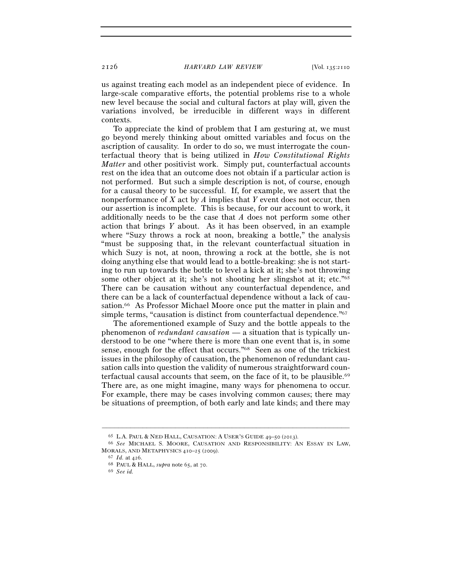us against treating each model as an independent piece of evidence. In large-scale comparative efforts, the potential problems rise to a whole new level because the social and cultural factors at play will, given the variations involved, be irreducible in different ways in different contexts.

To appreciate the kind of problem that I am gesturing at, we must go beyond merely thinking about omitted variables and focus on the ascription of causality. In order to do so, we must interrogate the counterfactual theory that is being utilized in *How Constitutional Rights Matter* and other positivist work. Simply put, counterfactual accounts rest on the idea that an outcome does not obtain if a particular action is not performed. But such a simple description is not, of course, enough for a causal theory to be successful. If, for example, we assert that the nonperformance of *X* act by *A* implies that *Y* event does not occur, then our assertion is incomplete. This is because, for our account to work, it additionally needs to be the case that *A* does not perform some other action that brings *Y* about. As it has been observed, in an example where "Suzy throws a rock at noon, breaking a bottle," the analysis "must be supposing that, in the relevant counterfactual situation in which Suzy is not, at noon, throwing a rock at the bottle, she is not doing anything else that would lead to a bottle-breaking: she is not starting to run up towards the bottle to level a kick at it; she's not throwing some other object at it; she's not shooting her slingshot at it; etc."65 There can be causation without any counterfactual dependence, and there can be a lack of counterfactual dependence without a lack of causation.66 As Professor Michael Moore once put the matter in plain and simple terms, "causation is distinct from counterfactual dependence."67

The aforementioned example of Suzy and the bottle appeals to the phenomenon of *redundant causation* — a situation that is typically understood to be one "where there is more than one event that is, in some sense, enough for the effect that occurs."68 Seen as one of the trickiest issues in the philosophy of causation, the phenomenon of redundant causation calls into question the validity of numerous straightforward counterfactual causal accounts that seem, on the face of it, to be plausible.<sup>69</sup> There are, as one might imagine, many ways for phenomena to occur. For example, there may be cases involving common causes; there may be situations of preemption, of both early and late kinds; and there may

<sup>65</sup> L.A. PAUL & NED HALL, CAUSATION: <sup>A</sup> USER'S GUIDE <sup>49</sup>–50 (<sup>2013</sup>). 66 *See* MICHAEL S. MOORE, CAUSATION AND RESPONSIBILITY: AN ESSAY IN LAW, MORALS, AND METAPHYSICS <sup>410</sup>–25 (<sup>2009</sup>). 67 *Id.* at <sup>426</sup>. 68 PAUL & HALL, *supra* note 65, at <sup>70</sup>. 69 *See id.*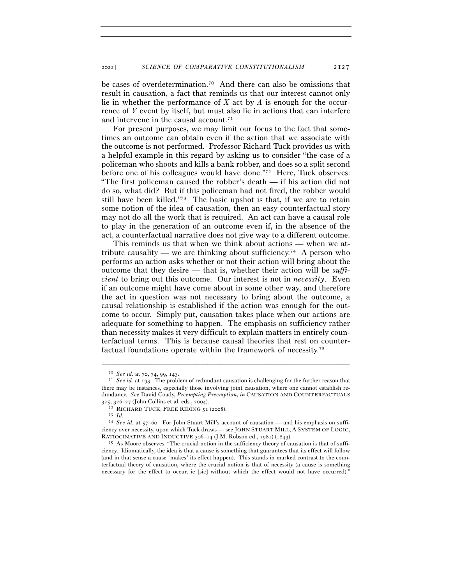be cases of overdetermination.70 And there can also be omissions that result in causation, a fact that reminds us that our interest cannot only lie in whether the performance of *X* act by *A* is enough for the occurrence of *Y* event by itself, but must also lie in actions that can interfere and intervene in the causal account.71

For present purposes, we may limit our focus to the fact that sometimes an outcome can obtain even if the action that we associate with the outcome is not performed. Professor Richard Tuck provides us with a helpful example in this regard by asking us to consider "the case of a policeman who shoots and kills a bank robber, and does so a split second before one of his colleagues would have done."72 Here, Tuck observes: "The first policeman caused the robber's death — if his action did not do so, what did? But if this policeman had not fired, the robber would still have been killed."73 The basic upshot is that, if we are to retain some notion of the idea of causation, then an easy counterfactual story may not do all the work that is required. An act can have a causal role to play in the generation of an outcome even if, in the absence of the act, a counterfactual narrative does not give way to a different outcome.

This reminds us that when we think about actions — when we attribute causality — we are thinking about sufficiency.<sup>74</sup> A person who performs an action asks whether or not their action will bring about the outcome that they desire — that is, whether their action will be *sufficient* to bring out this outcome. Our interest is not in *necessity*. Even if an outcome might have come about in some other way, and therefore the act in question was not necessary to bring about the outcome, a causal relationship is established if the action was enough for the outcome to occur. Simply put, causation takes place when our actions are adequate for something to happen. The emphasis on sufficiency rather than necessity makes it very difficult to explain matters in entirely counterfactual terms. This is because causal theories that rest on counterfactual foundations operate within the framework of necessity.75

<sup>70</sup> *See id.* at 70, 74, 99, <sup>143</sup>. 71 *See id.* at 193. The problem of redundant causation is challenging for the further reason that there may be instances, especially those involving joint causation, where one cannot establish redundancy. *See* David Coady, *Preempting Preemption*, *in* CAUSATION AND COUNTERFACTUALS 325, 326–27 (John Collins et al. eds., 2004).<br><sup>72</sup> RICHARD TUCK, FREE RIDING 51 (2008).<br><sup>73</sup> *Id.* 

<sup>74</sup> *See id.* at 57–60. For John Stuart Mill's account of causation — and his emphasis on sufficiency over necessity, upon which Tuck draws — see JOHN STUART MILL, A SYSTEM OF LOGIC, RATIOCINATIVE AND INDUCTIVE 306–14 (J.M. Robson ed., 1981) (1843).<br><sup>75</sup> As Moore observes: "The crucial notion in the sufficiency theory of causation is that of suffi-

ciency. Idiomatically, the idea is that a cause is something that guarantees that its effect will follow (and in that sense a cause 'makes' its effect happen). This stands in marked contrast to the counterfactual theory of causation, where the crucial notion is that of necessity (a cause is something necessary for the effect to occur, ie [sic] without which the effect would not have occurred)."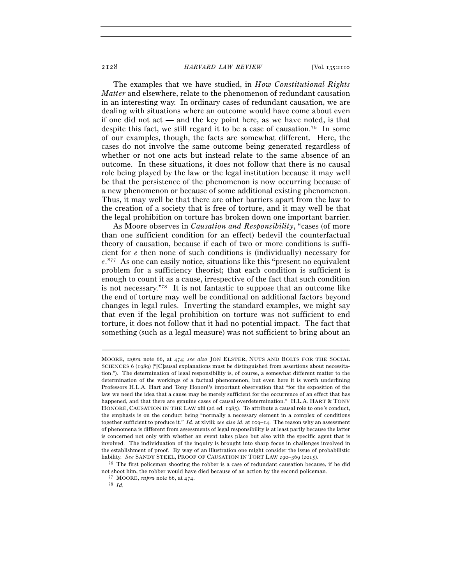The examples that we have studied, in *How Constitutional Rights Matter* and elsewhere, relate to the phenomenon of redundant causation in an interesting way. In ordinary cases of redundant causation, we are dealing with situations where an outcome would have come about even if one did not act — and the key point here, as we have noted, is that despite this fact, we still regard it to be a case of causation.76 In some of our examples, though, the facts are somewhat different. Here, the cases do not involve the same outcome being generated regardless of whether or not one acts but instead relate to the same absence of an outcome. In these situations, it does not follow that there is no causal role being played by the law or the legal institution because it may well be that the persistence of the phenomenon is now occurring because of a new phenomenon or because of some additional existing phenomenon. Thus, it may well be that there are other barriers apart from the law to the creation of a society that is free of torture, and it may well be that the legal prohibition on torture has broken down one important barrier.

As Moore observes in *Causation and Responsibility*, "cases (of more than one sufficient condition for an effect) bedevil the counterfactual theory of causation, because if each of two or more conditions is sufficient for *e* then none of such conditions is (individually) necessary for *e*."77 As one can easily notice, situations like this "present no equivalent problem for a sufficiency theorist; that each condition is sufficient is enough to count it as a cause, irrespective of the fact that such condition is not necessary."78 It is not fantastic to suppose that an outcome like the end of torture may well be conditional on additional factors beyond changes in legal rules. Inverting the standard examples, we might say that even if the legal prohibition on torture was not sufficient to end torture, it does not follow that it had no potential impact. The fact that something (such as a legal measure) was not sufficient to bring about an

MOORE, *supra* note 66, at 474; *see also* JON ELSTER, NUTS AND BOLTS FOR THE SOCIAL SCIENCES 6 (1989) ("[C]ausal explanations must be distinguished from assertions about necessitation."). The determination of legal responsibility is, of course, a somewhat different matter to the determination of the workings of a factual phenomenon, but even here it is worth underlining Professors H.L.A. Hart and Tony Honoré's important observation that "for the exposition of the law we need the idea that a cause may be merely sufficient for the occurrence of an effect that has happened, and that there are genuine cases of causal overdetermination." H.L.A. HART & TONY HONORÉ, CAUSATION IN THE LAW xlii (2d ed. 1985). To attribute a causal role to one's conduct, the emphasis is on the conduct being "normally a necessary element in a complex of conditions together sufficient to produce it." *Id.* at xlviii; *see also id.* at 109–14. The reason why an assessment of phenomena is different from assessments of legal responsibility is at least partly because the latter is concerned not only with whether an event takes place but also with the specific agent that is involved. The individuation of the inquiry is brought into sharp focus in challenges involved in the establishment of proof. By way of an illustration one might consider the issue of probabilistic liability. *See* SANDY STEEL, PROOF OF CAUSATION IN TORT LAW <sup>290</sup>–369 (<sup>2015</sup>). 76 The first policeman shooting the robber is a case of redundant causation because, if he did

not shoot him, the robber would have died because of an action by the second policeman. 77 MOORE, *supra* note 66, at <sup>474</sup>. 78 *Id.*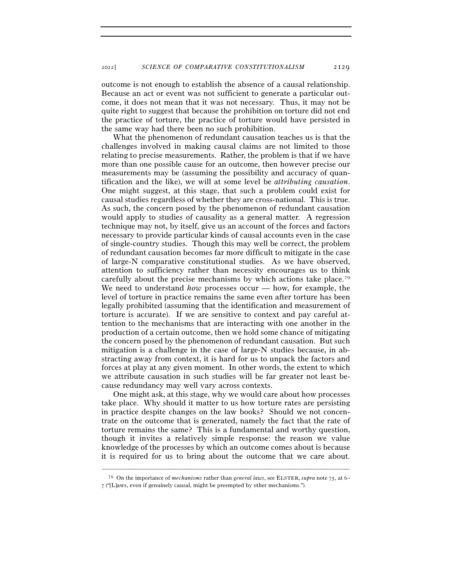outcome is not enough to establish the absence of a causal relationship. Because an act or event was not sufficient to generate a particular outcome, it does not mean that it was not necessary. Thus, it may not be quite right to suggest that because the prohibition on torture did not end the practice of torture, the practice of torture would have persisted in the same way had there been no such prohibition.

What the phenomenon of redundant causation teaches us is that the challenges involved in making causal claims are not limited to those relating to precise measurements. Rather, the problem is that if we have more than one possible cause for an outcome, then however precise our measurements may be (assuming the possibility and accuracy of quantification and the like), we will at some level be *attributing causation*. One might suggest, at this stage, that such a problem could exist for causal studies regardless of whether they are cross-national. This is true. As such, the concern posed by the phenomenon of redundant causation would apply to studies of causality as a general matter. A regression technique may not, by itself, give us an account of the forces and factors necessary to provide particular kinds of causal accounts even in the case of single-country studies. Though this may well be correct, the problem of redundant causation becomes far more difficult to mitigate in the case of large-N comparative constitutional studies. As we have observed, attention to sufficiency rather than necessity encourages us to think carefully about the precise mechanisms by which actions take place.79 We need to understand *how* processes occur — how, for example, the level of torture in practice remains the same even after torture has been legally prohibited (assuming that the identification and measurement of torture is accurate). If we are sensitive to context and pay careful attention to the mechanisms that are interacting with one another in the production of a certain outcome, then we hold some chance of mitigating the concern posed by the phenomenon of redundant causation. But such mitigation is a challenge in the case of large-N studies because, in abstracting away from context, it is hard for us to unpack the factors and forces at play at any given moment. In other words, the extent to which we attribute causation in such studies will be far greater not least because redundancy may well vary across contexts.

One might ask, at this stage, why we would care about how processes take place. Why should it matter to us how torture rates are persisting in practice despite changes on the law books? Should we not concentrate on the outcome that is generated, namely the fact that the rate of torture remains the same? This is a fundamental and worthy question, though it invites a relatively simple response: the reason we value knowledge of the processes by which an outcome comes about is because it is required for us to bring about the outcome that we care about.

<sup>–––––––––––––––––––––––––––––––––––––––––––––––––––––––––––––</sup> <sup>79</sup> On the importance of *mechanisms* rather than *general laws*, see ELSTER, *supra* note 75, at 6– 7 ("[L]aws, even if genuinely causal, might be preempted by other mechanisms.").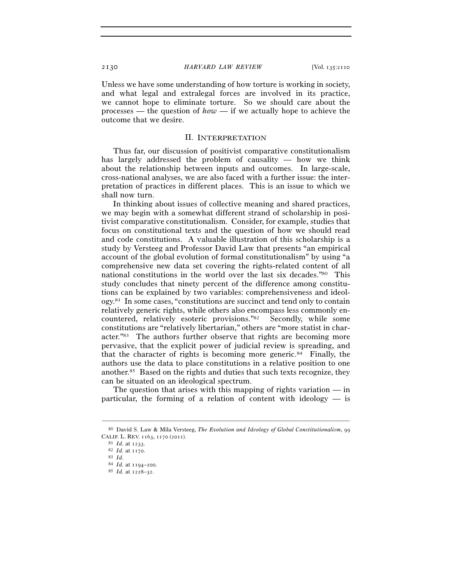Unless we have some understanding of how torture is working in society, and what legal and extralegal forces are involved in its practice, we cannot hope to eliminate torture. So we should care about the processes — the question of *how* — if we actually hope to achieve the outcome that we desire.

#### II. INTERPRETATION

Thus far, our discussion of positivist comparative constitutionalism has largely addressed the problem of causality — how we think about the relationship between inputs and outcomes. In large-scale, cross-national analyses, we are also faced with a further issue: the interpretation of practices in different places. This is an issue to which we shall now turn.

In thinking about issues of collective meaning and shared practices, we may begin with a somewhat different strand of scholarship in positivist comparative constitutionalism. Consider, for example, studies that focus on constitutional texts and the question of how we should read and code constitutions. A valuable illustration of this scholarship is a study by Versteeg and Professor David Law that presents "an empirical account of the global evolution of formal constitutionalism" by using "a comprehensive new data set covering the rights-related content of all national constitutions in the world over the last six decades."80 This study concludes that ninety percent of the difference among constitutions can be explained by two variables: comprehensiveness and ideology.81 In some cases, "constitutions are succinct and tend only to contain relatively generic rights, while others also encompass less commonly encountered, relatively esoteric provisions."82 Secondly, while some constitutions are "relatively libertarian," others are "more statist in character."83 The authors further observe that rights are becoming more pervasive, that the explicit power of judicial review is spreading, and that the character of rights is becoming more generic.<sup>84</sup> Finally, the authors use the data to place constitutions in a relative position to one another.85 Based on the rights and duties that such texts recognize, they can be situated on an ideological spectrum.

The question that arises with this mapping of rights variation  $-\text{in}$ particular, the forming of a relation of content with ideology — is

<sup>–––––––––––––––––––––––––––––––––––––––––––––––––––––––––––––</sup> <sup>80</sup> David S. Law & Mila Versteeg, *The Evolution and Ideology of Global Constitutionalism*, 99 CALIF. L. REV. <sup>1163</sup>, 1170 (<sup>2011</sup>). 81 *Id.* at <sup>1233</sup>. 82 *Id.* at <sup>1170</sup>. 83 *Id.*

<sup>84</sup> *Id.* at 1194–<sup>200</sup>. 85 *Id.* at 1228–32.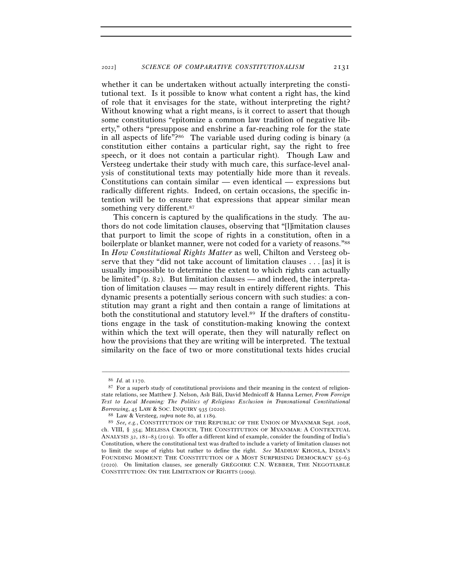whether it can be undertaken without actually interpreting the constitutional text. Is it possible to know what content a right has, the kind of role that it envisages for the state, without interpreting the right? Without knowing what a right means, is it correct to assert that though some constitutions "epitomize a common law tradition of negative liberty," others "presuppose and enshrine a far-reaching role for the state in all aspects of life"?86 The variable used during coding is binary (a constitution either contains a particular right, say the right to free speech, or it does not contain a particular right). Though Law and Versteeg undertake their study with much care, this surface-level analysis of constitutional texts may potentially hide more than it reveals. Constitutions can contain similar — even identical — expressions but radically different rights. Indeed, on certain occasions, the specific intention will be to ensure that expressions that appear similar mean something very different.<sup>87</sup>

This concern is captured by the qualifications in the study. The authors do not code limitation clauses, observing that "[l]imitation clauses that purport to limit the scope of rights in a constitution, often in a boilerplate or blanket manner, were not coded for a variety of reasons."88 In *How Constitutional Rights Matter* as well, Chilton and Versteeg observe that they "did not take account of limitation clauses . . . [as] it is usually impossible to determine the extent to which rights can actually be limited" (p. 82). But limitation clauses — and indeed, the interpretation of limitation clauses — may result in entirely different rights. This dynamic presents a potentially serious concern with such studies: a constitution may grant a right and then contain a range of limitations at both the constitutional and statutory level.89 If the drafters of constitutions engage in the task of constitution-making knowing the context within which the text will operate, then they will naturally reflect on how the provisions that they are writing will be interpreted. The textual similarity on the face of two or more constitutional texts hides crucial

<sup>86</sup> *Id.* at 1170.

<sup>87</sup> For a superb study of constitutional provisions and their meaning in the context of religionstate relations, see Matthew J. Nelson, Aslı Bâli, David Mednicoff & Hanna Lerner, *From Foreign Text to Local Meaning: The Politics of Religious Exclusion in Transnational Constitutional Borrowing*, 45 LAW & SOC. INQUIRY 935 (2020).<br><sup>88</sup> Law & Versteeg, *supra* note 80, at 1189.<br><sup>89</sup> *See, e.g.*, CONSTITUTION OF THE REPUBLIC OF THE UNION OF MYANMAR Sept. 2008,

ch. VIII, § 354; MELISSA CROUCH, THE CONSTITUTION OF MYANMAR: A CONTEXTUAL ANALYSIS 32, 181–83 (2019). To offer a different kind of example, consider the founding of India's Constitution, where the constitutional text was drafted to include a variety of limitation clauses not to limit the scope of rights but rather to define the right. *See* MADHAV KHOSLA, INDIA'S FOUNDING MOMENT: THE CONSTITUTION OF A MOST SURPRISING DEMOCRACY 55-63 (2020). On limitation clauses, see generally GRÉGOIRE C.N. WEBBER, THE NEGOTIABLE CONSTITUTION: ON THE LIMITATION OF RIGHTS (2009).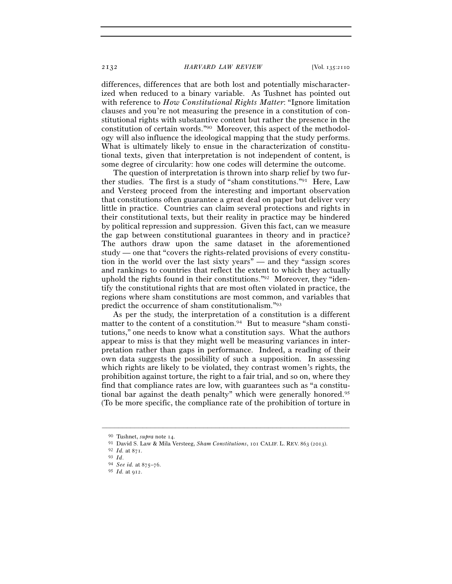differences, differences that are both lost and potentially mischaracterized when reduced to a binary variable. As Tushnet has pointed out with reference to *How Constitutional Rights Matter*: "Ignore limitation clauses and you're not measuring the presence in a constitution of constitutional rights with substantive content but rather the presence in the constitution of certain words."90 Moreover, this aspect of the methodology will also influence the ideological mapping that the study performs. What is ultimately likely to ensue in the characterization of constitutional texts, given that interpretation is not independent of content, is some degree of circularity: how one codes will determine the outcome.

The question of interpretation is thrown into sharp relief by two further studies. The first is a study of "sham constitutions."91 Here, Law and Versteeg proceed from the interesting and important observation that constitutions often guarantee a great deal on paper but deliver very little in practice. Countries can claim several protections and rights in their constitutional texts, but their reality in practice may be hindered by political repression and suppression. Given this fact, can we measure the gap between constitutional guarantees in theory and in practice? The authors draw upon the same dataset in the aforementioned study — one that "covers the rights-related provisions of every constitution in the world over the last sixty years" — and they "assign scores and rankings to countries that reflect the extent to which they actually uphold the rights found in their constitutions."92 Moreover, they "identify the constitutional rights that are most often violated in practice, the regions where sham constitutions are most common, and variables that predict the occurrence of sham constitutionalism."93

As per the study, the interpretation of a constitution is a different matter to the content of a constitution.<sup>94</sup> But to measure "sham constitutions," one needs to know what a constitution says. What the authors appear to miss is that they might well be measuring variances in interpretation rather than gaps in performance. Indeed, a reading of their own data suggests the possibility of such a supposition. In assessing which rights are likely to be violated, they contrast women's rights, the prohibition against torture, the right to a fair trial, and so on, where they find that compliance rates are low, with guarantees such as "a constitutional bar against the death penalty" which were generally honored.95 (To be more specific, the compliance rate of the prohibition of torture in

<sup>90</sup> Tushnet, *supra* note 14.

<sup>91</sup> David S. Law & Mila Versteeg, *Sham Constitutions*, 101 CALIF. L. REV. <sup>863</sup> (<sup>2013</sup>). 92 *Id.* at <sup>871</sup>. 93 *Id*. 94 *See id.* at 875–<sup>76</sup>. 95 *Id.* at 912.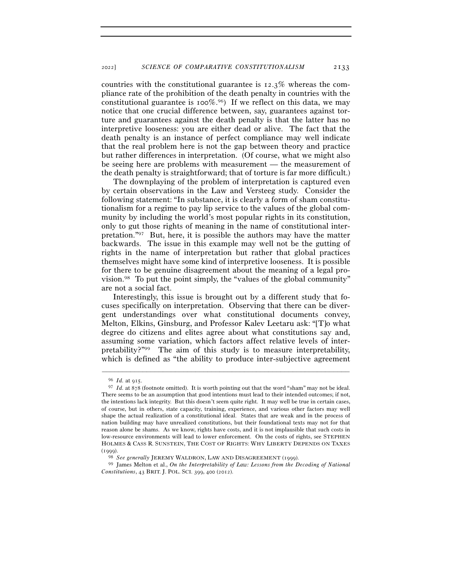countries with the constitutional guarantee is 12.3% whereas the compliance rate of the prohibition of the death penalty in countries with the constitutional guarantee is  $100\%$ .<sup>96</sup>) If we reflect on this data, we may notice that one crucial difference between, say, guarantees against torture and guarantees against the death penalty is that the latter has no interpretive looseness: you are either dead or alive. The fact that the death penalty is an instance of perfect compliance may well indicate that the real problem here is not the gap between theory and practice but rather differences in interpretation. (Of course, what we might also be seeing here are problems with measurement — the measurement of the death penalty is straightforward; that of torture is far more difficult.)

The downplaying of the problem of interpretation is captured even by certain observations in the Law and Versteeg study. Consider the following statement: "In substance, it is clearly a form of sham constitutionalism for a regime to pay lip service to the values of the global community by including the world's most popular rights in its constitution, only to gut those rights of meaning in the name of constitutional interpretation."97 But, here, it is possible the authors may have the matter backwards. The issue in this example may well not be the gutting of rights in the name of interpretation but rather that global practices themselves might have some kind of interpretive looseness. It is possible for there to be genuine disagreement about the meaning of a legal provision.98 To put the point simply, the "values of the global community" are not a social fact.

Interestingly, this issue is brought out by a different study that focuses specifically on interpretation. Observing that there can be divergent understandings over what constitutional documents convey, Melton, Elkins, Ginsburg, and Professor Kalev Leetaru ask: "[T]o what degree do citizens and elites agree about what constitutions say and, assuming some variation, which factors affect relative levels of interpretability?"99 The aim of this study is to measure interpretability, which is defined as "the ability to produce inter-subjective agreement

<sup>96</sup> *Id.* at <sup>915</sup>. 97 *Id.* at 878 (footnote omitted). It is worth pointing out that the word "sham" may not be ideal. There seems to be an assumption that good intentions must lead to their intended outcomes; if not, the intentions lack integrity. But this doesn't seem quite right. It may well be true in certain cases, of course, but in others, state capacity, training, experience, and various other factors may well shape the actual realization of a constitutional ideal. States that are weak and in the process of nation building may have unrealized constitutions, but their foundational texts may not for that reason alone be shams. As we know, rights have costs, and it is not implausible that such costs in low-resource environments will lead to lower enforcement. On the costs of rights, see STEPHEN HOLMES & CASS R. SUNSTEIN, THE COST OF RIGHTS: WHY LIBERTY DEPENDS ON TAXES

<sup>(</sup><sup>1999</sup>). 98 *See generally* JEREMY WALDRON, LAW AND DISAGREEMENT (<sup>1999</sup>). 99 James Melton et al., *On the Interpretability of Law: Lessons from the Decoding of National Constitutions*, 43 BRIT. J. POL. SCI. 399, 400 (2012).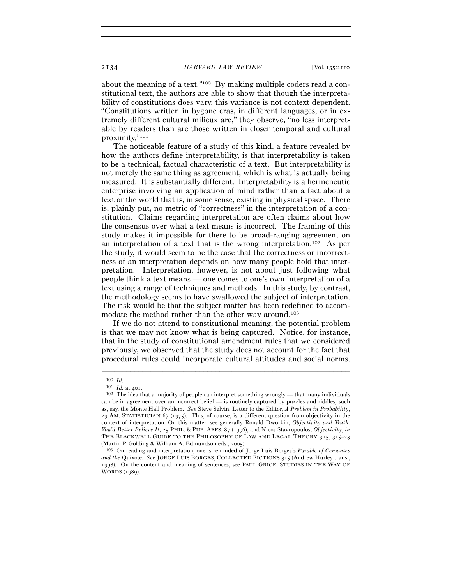about the meaning of a text."100 By making multiple coders read a constitutional text, the authors are able to show that though the interpretability of constitutions does vary, this variance is not context dependent. "Constitutions written in bygone eras, in different languages, or in extremely different cultural milieux are," they observe, "no less interpretable by readers than are those written in closer temporal and cultural proximity."101

The noticeable feature of a study of this kind, a feature revealed by how the authors define interpretability, is that interpretability is taken to be a technical, factual characteristic of a text. But interpretability is not merely the same thing as agreement, which is what is actually being measured. It is substantially different. Interpretability is a hermeneutic enterprise involving an application of mind rather than a fact about a text or the world that is, in some sense, existing in physical space. There is, plainly put, no metric of "correctness" in the interpretation of a constitution. Claims regarding interpretation are often claims about how the consensus over what a text means is incorrect. The framing of this study makes it impossible for there to be broad-ranging agreement on an interpretation of a text that is the wrong interpretation.102 As per the study, it would seem to be the case that the correctness or incorrectness of an interpretation depends on how many people hold that interpretation. Interpretation, however, is not about just following what people think a text means — one comes to one's own interpretation of a text using a range of techniques and methods. In this study, by contrast, the methodology seems to have swallowed the subject of interpretation. The risk would be that the subject matter has been redefined to accommodate the method rather than the other way around.<sup>103</sup>

If we do not attend to constitutional meaning, the potential problem is that we may not know what is being captured. Notice, for instance, that in the study of constitutional amendment rules that we considered previously, we observed that the study does not account for the fact that procedural rules could incorporate cultural attitudes and social norms.

<sup>100</sup> *Id.*<br><sup>101</sup> *Id.* at 401.<br><sup>102</sup> The idea that a majority of people can interpret something wrongly — that many individuals can be in agreement over an incorrect belief — is routinely captured by puzzles and riddles, such as, say, the Monte Hall Problem. *See* Steve Selvin, Letter to the Editor, *A Problem in Probability*, 29 AM. STATISTICIAN 67 (1975). This, of course, is a different question from objectivity in the context of interpretation. On this matter, see generally Ronald Dworkin, *Objectivity and Truth: You'd Better Believe It*, 25 PHIL. & PUB. AFFS. 87 (1996); and Nicos Stavropoulos, *Objectivity*, *in*  THE BLACKWELL GUIDE TO THE PHILOSOPHY OF LAW AND LEGAL THEORY 315, 315–23

<sup>(</sup>Martin P. Golding & William A. Edmundson eds., <sup>2005</sup>). 103 On reading and interpretation, one is reminded of Jorge Luis Borges's *Parable of Cervantes and the* Quixote. *See* JORGE LUIS BORGES, COLLECTED FICTIONS 315 (Andrew Hurley trans., 1998). On the content and meaning of sentences, see PAUL GRICE, STUDIES IN THE WAY OF WORDS (1989).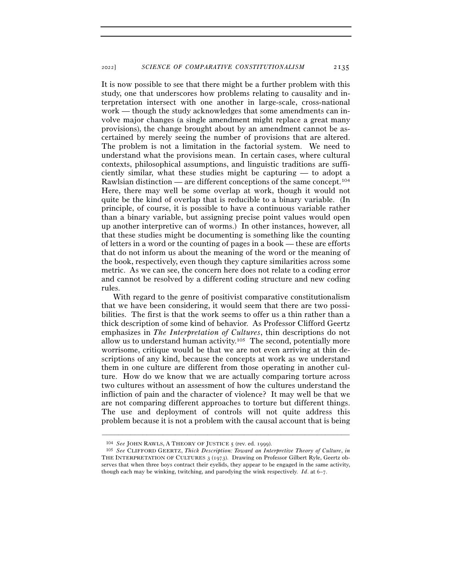It is now possible to see that there might be a further problem with this study, one that underscores how problems relating to causality and interpretation intersect with one another in large-scale, cross-national work — though the study acknowledges that some amendments can involve major changes (a single amendment might replace a great many provisions), the change brought about by an amendment cannot be ascertained by merely seeing the number of provisions that are altered. The problem is not a limitation in the factorial system. We need to understand what the provisions mean. In certain cases, where cultural contexts, philosophical assumptions, and linguistic traditions are sufficiently similar, what these studies might be capturing — to adopt a Rawlsian distinction — are different conceptions of the same concept.104 Here, there may well be some overlap at work, though it would not quite be the kind of overlap that is reducible to a binary variable. (In principle, of course, it is possible to have a continuous variable rather than a binary variable, but assigning precise point values would open up another interpretive can of worms.) In other instances, however, all that these studies might be documenting is something like the counting of letters in a word or the counting of pages in a book — these are efforts that do not inform us about the meaning of the word or the meaning of the book, respectively, even though they capture similarities across some metric. As we can see, the concern here does not relate to a coding error and cannot be resolved by a different coding structure and new coding rules.

With regard to the genre of positivist comparative constitutionalism that we have been considering, it would seem that there are two possibilities. The first is that the work seems to offer us a thin rather than a thick description of some kind of behavior. As Professor Clifford Geertz emphasizes in *The Interpretation of Cultures*, thin descriptions do not allow us to understand human activity.105 The second, potentially more worrisome, critique would be that we are not even arriving at thin descriptions of any kind, because the concepts at work as we understand them in one culture are different from those operating in another culture. How do we know that we are actually comparing torture across two cultures without an assessment of how the cultures understand the infliction of pain and the character of violence? It may well be that we are not comparing different approaches to torture but different things. The use and deployment of controls will not quite address this problem because it is not a problem with the causal account that is being

<sup>104</sup> *See* JOHN RAWLS, <sup>A</sup> THEORY OF JUSTICE <sup>5</sup> (rev. ed. <sup>1999</sup>). 105 *See* CLIFFORD GEERTZ, *Thick Description: Toward an Interpretive Theory of Culture*, *in* THE INTERPRETATION OF CULTURES 3 (1973). Drawing on Professor Gilbert Ryle, Geertz observes that when three boys contract their eyelids, they appear to be engaged in the same activity, though each may be winking, twitching, and parodying the wink respectively. *Id*. at 6–7.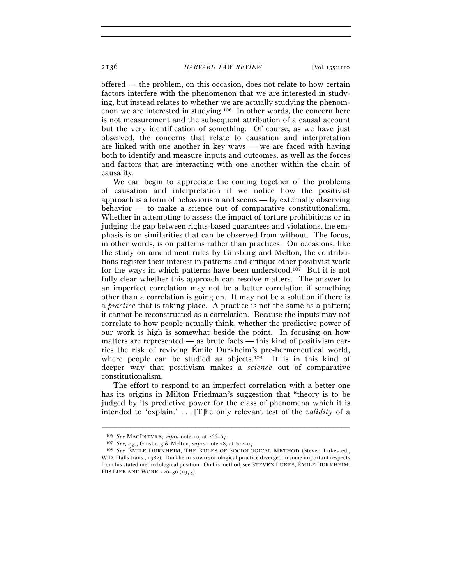offered — the problem, on this occasion, does not relate to how certain factors interfere with the phenomenon that we are interested in studying, but instead relates to whether we are actually studying the phenomenon we are interested in studying.106 In other words, the concern here is not measurement and the subsequent attribution of a causal account but the very identification of something. Of course, as we have just observed, the concerns that relate to causation and interpretation are linked with one another in key ways — we are faced with having both to identify and measure inputs and outcomes, as well as the forces and factors that are interacting with one another within the chain of causality.

We can begin to appreciate the coming together of the problems of causation and interpretation if we notice how the positivist approach is a form of behaviorism and seems — by externally observing behavior — to make a science out of comparative constitutionalism. Whether in attempting to assess the impact of torture prohibitions or in judging the gap between rights-based guarantees and violations, the emphasis is on similarities that can be observed from without. The focus, in other words, is on patterns rather than practices. On occasions, like the study on amendment rules by Ginsburg and Melton, the contributions register their interest in patterns and critique other positivist work for the ways in which patterns have been understood.107 But it is not fully clear whether this approach can resolve matters. The answer to an imperfect correlation may not be a better correlation if something other than a correlation is going on. It may not be a solution if there is a *practice* that is taking place. A practice is not the same as a pattern; it cannot be reconstructed as a correlation. Because the inputs may not correlate to how people actually think, whether the predictive power of our work is high is somewhat beside the point. In focusing on how matters are represented — as brute facts — this kind of positivism carries the risk of reviving Émile Durkheim's pre-hermeneutical world, where people can be studied as objects.<sup>108</sup> It is in this kind of deeper way that positivism makes a *science* out of comparative constitutionalism.

The effort to respond to an imperfect correlation with a better one has its origins in Milton Friedman's suggestion that "theory is to be judged by its predictive power for the class of phenomena which it is intended to 'explain.' . . . [T]he only relevant test of the *validity* of a

<sup>106</sup> *See* MACINTYRE, *supra* note 10, at 266–67.

<sup>107</sup> *See, e.g.*, Ginsburg & Melton, *supra* note 28, at 702–<sup>07</sup>. 108 *See* ÉMILE DURKHEIM, THE RULES OF SOCIOLOGICAL METHOD (Steven Lukes ed., W.D. Halls trans., 1982). Durkheim's own sociological practice diverged in some important respects from his stated methodological position. On his method, see STEVEN LUKES, ÉMILE DURKHEIM: HIS LIFE AND WORK 226–36 (1973).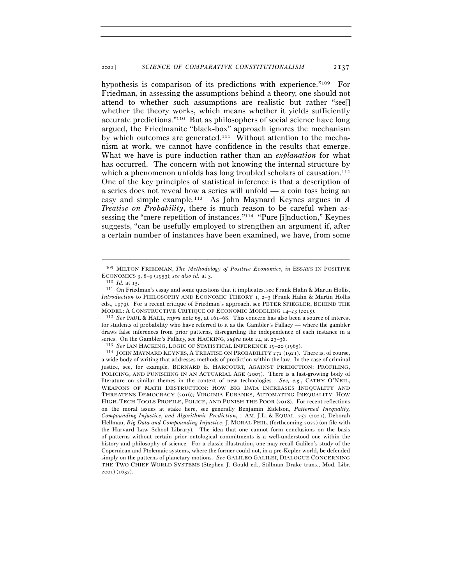hypothesis is comparison of its predictions with experience."<sup>109</sup> For Friedman, in assessing the assumptions behind a theory, one should not attend to whether such assumptions are realistic but rather "see[] whether the theory works, which means whether it yields sufficiently accurate predictions."110 But as philosophers of social science have long argued, the Friedmanite "black-box" approach ignores the mechanism by which outcomes are generated.111 Without attention to the mechanism at work, we cannot have confidence in the results that emerge. What we have is pure induction rather than an *explanation* for what has occurred. The concern with not knowing the internal structure by which a phenomenon unfolds has long troubled scholars of causation.<sup>112</sup> One of the key principles of statistical inference is that a description of a series does not reveal how a series will unfold — a coin toss being an easy and simple example.113 As John Maynard Keynes argues in *A Treatise on Probability*, there is much reason to be careful when assessing the "mere repetition of instances."114 "Pure [i]nduction," Keynes suggests, "can be usefully employed to strengthen an argument if, after a certain number of instances have been examined, we have, from some

<sup>–––––––––––––––––––––––––––––––––––––––––––––––––––––––––––––</sup> 109 MILTON FRIEDMAN, *The Methodology of Positive Economics*, *in* ESSAYS IN POSITIVE ECONOMICS 3, 8–9 (1953); *see also id.* at 3.<br><sup>110</sup> *Id.* at 15.<br><sup>111</sup> On Friedman's essay and some questions that it implicates, see Frank Hahn & Martin Hollis,

*Introduction* to PHILOSOPHY AND ECONOMIC THEORY 1, 2–3 (Frank Hahn & Martin Hollis eds., 1979). For a recent critique of Friedman's approach, see PETER SPIEGLER, BEHIND THE MODEL: <sup>A</sup> CONSTRUCTIVE CRITIQUE OF ECONOMIC MODELING <sup>14</sup>–23 (<sup>2015</sup>). 112 *See* PAUL & HALL, *supra* note 65, at 161–68. This concern has also been a source of interest

for students of probability who have referred to it as the Gambler's Fallacy — where the gambler draws false inferences from prior patterns, disregarding the independence of each instance in a series. On the Gambler's Fallacy, see HACKING, *supra* note 24, at 23–36.<br><sup>113</sup> See IAN HACKING, LOGIC OF STATISTICAL INFERENCE 19–20 (1965).<br><sup>114</sup> JOHN MAYNARD KEYNES, A TREATISE ON PROBABILITY 272 (1921). There is, of co

a wide body of writing that addresses methods of prediction within the law. In the case of criminal justice, see, for example, BERNARD E. HARCOURT, AGAINST PREDICTION: PROFILING, POLICING, AND PUNISHING IN AN ACTUARIAL AGE (2007). There is a fast-growing body of literature on similar themes in the context of new technologies. *See, e.g.*, CATHY O'NEIL, WEAPONS OF MATH DESTRUCTION: HOW BIG DATA INCREASES INEQUALITY AND THREATENS DEMOCRACY (2016); VIRGINIA EUBANKS, AUTOMATING INEQUALITY: HOW HIGH-TECH TOOLS PROFILE, POLICE, AND PUNISH THE POOR (2018). For recent reflections on the moral issues at stake here, see generally Benjamin Eidelson, *Patterned Inequality, Compounding Injustice, and Algorithmic Prediction*, 1 AM. J.L. & EQUAL. 252 (2021); Deborah Hellman, *Big Data and Compounding Injustice*, J. MORAL PHIL. (forthcoming 2022) (on file with the Harvard Law School Library). The idea that one cannot form conclusions on the basis of patterns without certain prior ontological commitments is a well-understood one within the history and philosophy of science. For a classic illustration, one may recall Galileo's study of the Copernican and Ptolemaic systems, where the former could not, in a pre-Kepler world, be defended simply on the patterns of planetary motions. *See* GALILEO GALILEI, DIALOGUE CONCERNING THE TWO CHIEF WORLD SYSTEMS (Stephen J. Gould ed., Stillman Drake trans., Mod. Libr. 2001) (1632).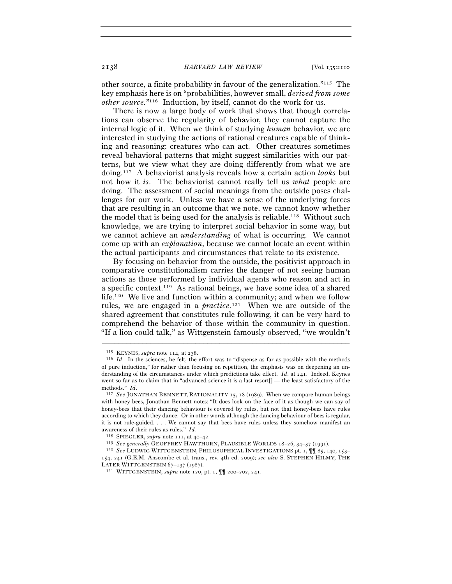other source, a finite probability in favour of the generalization."115 The key emphasis here is on "probabilities, however small, *derived from some other source.*"116 Induction, by itself, cannot do the work for us.

There is now a large body of work that shows that though correlations can observe the regularity of behavior, they cannot capture the internal logic of it. When we think of studying *human* behavior, we are interested in studying the actions of rational creatures capable of thinking and reasoning: creatures who can act. Other creatures sometimes reveal behavioral patterns that might suggest similarities with our patterns, but we view what they are doing differently from what we are doing.117 A behaviorist analysis reveals how a certain action *looks* but not how it *is*. The behaviorist cannot really tell us *what* people are doing. The assessment of social meanings from the outside poses challenges for our work. Unless we have a sense of the underlying forces that are resulting in an outcome that we note, we cannot know whether the model that is being used for the analysis is reliable.118 Without such knowledge, we are trying to interpret social behavior in some way, but we cannot achieve an *understanding* of what is occurring. We cannot come up with an *explanation*, because we cannot locate an event within the actual participants and circumstances that relate to its existence.

By focusing on behavior from the outside, the positivist approach in comparative constitutionalism carries the danger of not seeing human actions as those performed by individual agents who reason and act in a specific context.119 As rational beings, we have some idea of a shared life.120 We live and function within a community; and when we follow rules, we are engaged in a *practice*. 121 When we are outside of the shared agreement that constitutes rule following, it can be very hard to comprehend the behavior of those within the community in question. "If a lion could talk," as Wittgenstein famously observed, "we wouldn't

<sup>&</sup>lt;sup>115</sup> KEYNES, *supra* note 114, at 238.<br><sup>116</sup> *Id*. In the sciences, he felt, the effort was to "dispense as far as possible with the methods of pure induction," for rather than focusing on repetition, the emphasis was on deepening an understanding of the circumstances under which predictions take effect. *Id*. at 241. Indeed, Keynes went so far as to claim that in "advanced science it is a last resort[] — the least satisfactory of the methods." *Id*. 117 *See* JONATHAN BENNETT, RATIONALITY 15, 18 (1989). When we compare human beings

with honey bees, Jonathan Bennett notes: "It does look on the face of it as though we can say of honey-bees that their dancing behaviour is covered by rules, but not that honey-bees have rules according to which they dance. Or in other words although the dancing behaviour of bees is regular, it is not rule-guided. . . . We cannot say that bees have rules unless they somehow manifest an % awareness of their rules as rules." *Id.*<br>
<sup>118</sup> SPIEGLER, *supra* note 111, at 40–42.<br>
<sup>119</sup> See generally GEOFFREY HAWTHORN, PLAUSIBLE WORLDS 18–26, 34–37 (1991).<br>
<sup>120</sup> See LUDWIG WITTGENSTEIN, PHILOSOPHICAL INVESTIG

<sup>154</sup>, 241 (G.E.M. Anscombe et al. trans., rev. 4th ed. 2009); *see also* S. STEPHEN HILMY, THE LATER WITTGENSTEIN <sup>67</sup>–137 (<sup>1987</sup>). 121 WITTGENSTEIN, *supra* note 120, pt. 1, ¶¶ 200–202, 241.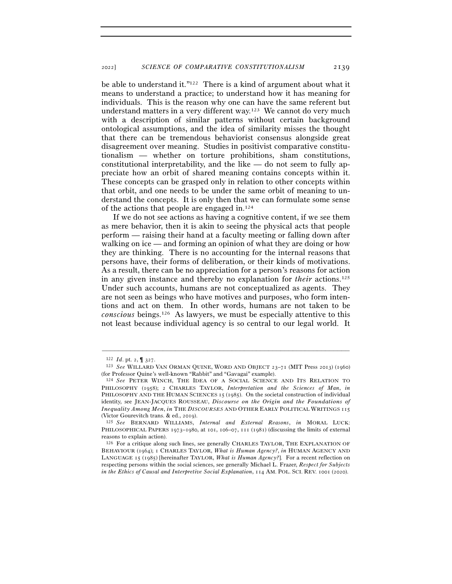be able to understand it."122 There is a kind of argument about what it means to understand a practice; to understand how it has meaning for individuals. This is the reason why one can have the same referent but understand matters in a very different way.123 We cannot do very much with a description of similar patterns without certain background ontological assumptions, and the idea of similarity misses the thought that there can be tremendous behaviorist consensus alongside great disagreement over meaning. Studies in positivist comparative constitutionalism — whether on torture prohibitions, sham constitutions, constitutional interpretability, and the like  $-$  do not seem to fully appreciate how an orbit of shared meaning contains concepts within it. These concepts can be grasped only in relation to other concepts within that orbit, and one needs to be under the same orbit of meaning to understand the concepts. It is only then that we can formulate some sense of the actions that people are engaged in.124

If we do not see actions as having a cognitive content, if we see them as mere behavior, then it is akin to seeing the physical acts that people perform — raising their hand at a faculty meeting or falling down after walking on ice — and forming an opinion of what they are doing or how they are thinking. There is no accounting for the internal reasons that persons have, their forms of deliberation, or their kinds of motivations. As a result, there can be no appreciation for a person's reasons for action in any given instance and thereby no explanation for *their* actions.125 Under such accounts, humans are not conceptualized as agents. They are not seen as beings who have motives and purposes, who form intentions and act on them. In other words, humans are not taken to be *conscious* beings.126 As lawyers, we must be especially attentive to this not least because individual agency is so central to our legal world. It

<sup>122</sup> *Id*. pt. 2, ¶ <sup>327</sup>. 123 *See* WILLARD VAN ORMAN QUINE, WORD AND OBJECT <sup>23</sup>–71 (MIT Press 2013) (1960) (for Professor Quine's well-known "Rabbit" and "Gavagai" example).

<sup>124</sup> *See* PETER WINCH, THE IDEA OF A SOCIAL SCIENCE AND ITS RELATION TO PHILOSOPHY (1958); 2 CHARLES TAYLOR, *Interpretation and the Sciences of Man*, *in* PHILOSOPHY AND THE HUMAN SCIENCES 15 (1985). On the societal construction of individual identity, see JEAN-JACQUES ROUSSEAU, *Discourse on the Origin and the Foundations of Inequality Among Men*, *in* THE *DISCOURSES* AND OTHER EARLY POLITICAL WRITINGS 115

<sup>(</sup>Victor Gourevitch trans. & ed., <sup>2019</sup>). 125 *See* BERNARD WILLIAMS, *Internal and External Reasons*, *in* MORAL LUCK: PHILOSOPHICAL PAPERS 1973-1980, at 101, 106-07, 111 (1981) (discussing the limits of external reasons to explain action).

<sup>126</sup> For a critique along such lines, see generally CHARLES TAYLOR, THE EXPLANATION OF BEHAVIOUR (1964); 1 CHARLES TAYLOR, *What is Human Agency?*, *in* HUMAN AGENCY AND LANGUAGE 15 (1985) [hereinafter TAYLOR, *What is Human Agency*?]. For a recent reflection on respecting persons within the social sciences, see generally Michael L. Frazer, *Respect for Subjects in the Ethics of Causal and Interpretive Social Explanation*, 114 AM. POL. SCI. REV. 1001 (2020).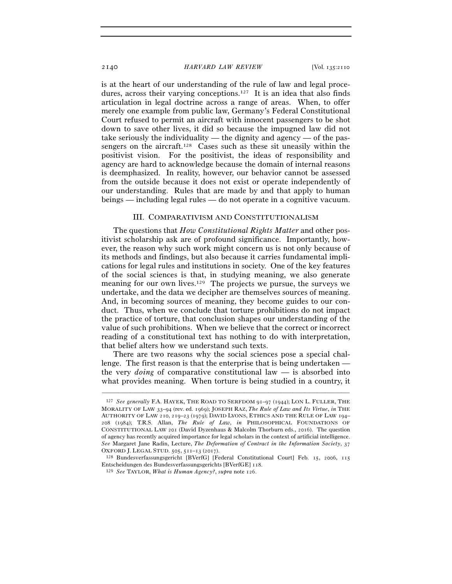is at the heart of our understanding of the rule of law and legal procedures, across their varying conceptions.127 It is an idea that also finds articulation in legal doctrine across a range of areas. When, to offer merely one example from public law, Germany's Federal Constitutional Court refused to permit an aircraft with innocent passengers to be shot down to save other lives, it did so because the impugned law did not take seriously the individuality — the dignity and agency — of the passengers on the aircraft.128 Cases such as these sit uneasily within the positivist vision. For the positivist, the ideas of responsibility and agency are hard to acknowledge because the domain of internal reasons is deemphasized. In reality, however, our behavior cannot be assessed from the outside because it does not exist or operate independently of our understanding. Rules that are made by and that apply to human beings — including legal rules — do not operate in a cognitive vacuum.

#### III. COMPARATIVISM AND CONSTITUTIONALISM

The questions that *How Constitutional Rights Matter* and other positivist scholarship ask are of profound significance. Importantly, however, the reason why such work might concern us is not only because of its methods and findings, but also because it carries fundamental implications for legal rules and institutions in society. One of the key features of the social sciences is that, in studying meaning, we also generate meaning for our own lives.129 The projects we pursue, the surveys we undertake, and the data we decipher are themselves sources of meaning. And, in becoming sources of meaning, they become guides to our conduct. Thus, when we conclude that torture prohibitions do not impact the practice of torture, that conclusion shapes our understanding of the value of such prohibitions. When we believe that the correct or incorrect reading of a constitutional text has nothing to do with interpretation, that belief alters how we understand such texts.

There are two reasons why the social sciences pose a special challenge. The first reason is that the enterprise that is being undertaken the very *doing* of comparative constitutional law — is absorbed into what provides meaning. When torture is being studied in a country, it

<sup>127</sup> *See generally* F.A. HAYEK, THE ROAD TO SERFDOM 91–97 (1944); LON L. FULLER, THE MORALITY OF LAW 33–94 (rev. ed. 1969); JOSEPH RAZ, *The Rule of Law and Its Virtue*, *in* THE AUTHORITY OF LAW 210, 219–23 (1979); DAVID LYONS, ETHICS AND THE RULE OF LAW 194– 208 (1984); T.R.S. Allan, *The Rule of Law*, *in* PHILOSOPHICAL FOUNDATIONS OF CONSTITUTIONAL LAW 201 (David Dyzenhaus & Malcolm Thorburn eds., 2016). The question of agency has recently acquired importance for legal scholars in the context of artificial intelligence. *See* Margaret Jane Radin, Lecture, *The Deformation of Contract in the Information Society*, 37 OXFORD J. LEGAL STUD. 505, 511–13 (<sup>2017</sup>). 128 Bundesverfassungsgericht [BVerfG] [Federal Constitutional Court] Feb. 15, 2006, <sup>115</sup>

Entscheidungen des Bundesverfassungsgerichts [BVerfGE] <sup>118</sup>. 129 *See* TAYLOR, *What is Human Agency?*, *supra* note 126.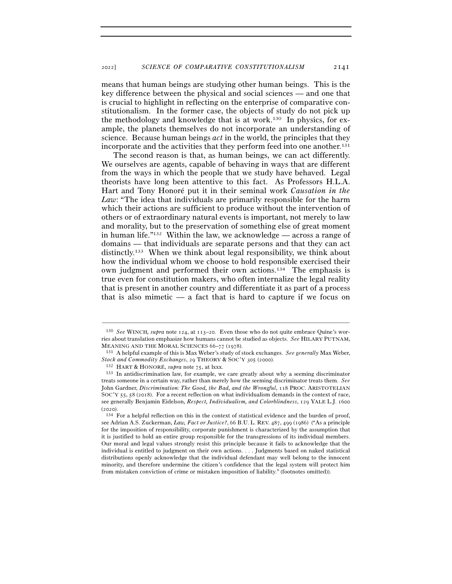means that human beings are studying other human beings. This is the key difference between the physical and social sciences — and one that is crucial to highlight in reflecting on the enterprise of comparative constitutionalism. In the former case, the objects of study do not pick up the methodology and knowledge that is at work.130 In physics, for example, the planets themselves do not incorporate an understanding of science. Because human beings *act* in the world, the principles that they incorporate and the activities that they perform feed into one another.<sup>131</sup>

The second reason is that, as human beings, we can act differently. We ourselves are agents, capable of behaving in ways that are different from the ways in which the people that we study have behaved. Legal theorists have long been attentive to this fact. As Professors H.L.A. Hart and Tony Honoré put it in their seminal work *Causation in the Law*: "The idea that individuals are primarily responsible for the harm which their actions are sufficient to produce without the intervention of others or of extraordinary natural events is important, not merely to law and morality, but to the preservation of something else of great moment in human life."132 Within the law, we acknowledge — across a range of domains — that individuals are separate persons and that they can act distinctly.133 When we think about legal responsibility, we think about how the individual whom we choose to hold responsible exercised their own judgment and performed their own actions.134 The emphasis is true even for constitution makers, who often internalize the legal reality that is present in another country and differentiate it as part of a process that is also mimetic — a fact that is hard to capture if we focus on

<sup>130</sup> *See* WINCH*, supra* note 124, at 113–20. Even those who do not quite embrace Quine's worries about translation emphasize how humans cannot be studied as objects. *See* HILARY PUTNAM, MEANING AND THE MORAL SCIENCES <sup>66</sup>–77 (<sup>1978</sup>). 131 A helpful example of this is Max Weber's study of stock exchanges. *See generally* Max Weber,

*Stock and Commodity Exchanges*, 29 THEORY & SOC'Y <sup>305</sup> (<sup>2000</sup>). 132 HART & HONORÉ, *supra* note <sup>75</sup>, at lxxx. 133 In antidiscrimination law, for example, we care greatly about why a seeming discriminator

treats someone in a certain way, rather than merely how the seeming discriminator treats them. *See* John Gardner, *Discrimination: The Good, the Bad, and the Wrongful*, 118 PROC. ARISTOTELIAN SOC'Y 55, 58 (2018). For a recent reflection on what individualism demands in the context of race, see generally Benjamin Eidelson, *Respect, Individualism, and Colorblindness*, 129 YALE L.J. 1600

<sup>(2020).</sup>  $134$  For a helpful reflection on this in the context of statistical evidence and the burden of proof, see Adrian A.S. Zuckerman, *Law, Fact or Justice?*, 66 B.U. L. REV. 487, 499 (1986) ("As a principle for the imposition of responsibility, corporate punishment is characterized by the assumption that it is justified to hold an entire group responsible for the transgressions of its individual members. Our moral and legal values strongly resist this principle because it fails to acknowledge that the individual is entitled to judgment on their own actions. . . . Judgments based on naked statistical distributions openly acknowledge that the individual defendant may well belong to the innocent minority, and therefore undermine the citizen's confidence that the legal system will protect him from mistaken conviction of crime or mistaken imposition of liability." (footnotes omitted)).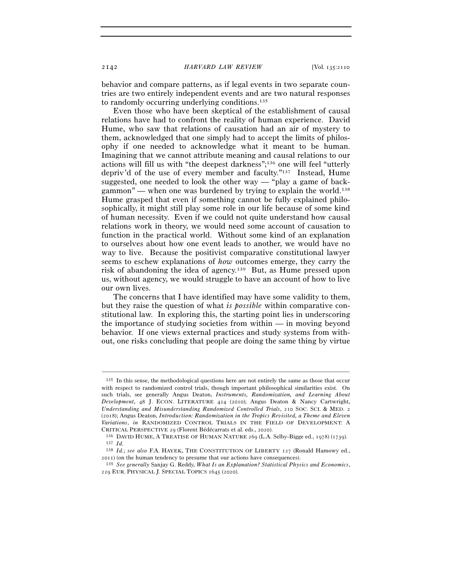behavior and compare patterns, as if legal events in two separate countries are two entirely independent events and are two natural responses to randomly occurring underlying conditions.135

Even those who have been skeptical of the establishment of causal relations have had to confront the reality of human experience. David Hume, who saw that relations of causation had an air of mystery to them, acknowledged that one simply had to accept the limits of philosophy if one needed to acknowledge what it meant to be human. Imagining that we cannot attribute meaning and causal relations to our actions will fill us with "the deepest darkness";136 one will feel "utterly depriv'd of the use of every member and faculty."137 Instead, Hume suggested, one needed to look the other way — "play a game of backgammon" — when one was burdened by trying to explain the world.<sup>138</sup> Hume grasped that even if something cannot be fully explained philosophically, it might still play some role in our life because of some kind of human necessity. Even if we could not quite understand how causal relations work in theory, we would need some account of causation to function in the practical world. Without some kind of an explanation to ourselves about how one event leads to another, we would have no way to live. Because the positivist comparative constitutional lawyer seems to eschew explanations of *how* outcomes emerge, they carry the risk of abandoning the idea of agency.139 But, as Hume pressed upon us, without agency, we would struggle to have an account of how to live our own lives.

The concerns that I have identified may have some validity to them, but they raise the question of what *is possible* within comparative constitutional law. In exploring this, the starting point lies in underscoring the importance of studying societies from within — in moving beyond behavior. If one views external practices and study systems from without, one risks concluding that people are doing the same thing by virtue

<sup>135</sup> In this sense, the methodological questions here are not entirely the same as those that occur with respect to randomized control trials, though important philosophical similarities exist. On such trials, see generally Angus Deaton, *Instruments, Randomization, and Learning About Development*, 48 J. ECON. LITERATURE 424 (2010); Angus Deaton & Nancy Cartwright, *Understanding and Misunderstanding Randomized Controlled Trials*, 210 SOC. SCI. & MED. 2 (2018); Angus Deaton, *Introduction: Randomization in the Tropics Revisited, a Theme and Eleven Variations*, *in* RANDOMIZED CONTROL TRIALS IN THE FIELD OF DEVELOPMENT: A

CRITICAL PERSPECTIVE <sup>29</sup> (Florent Bédécarrats et al. eds., <sup>2020</sup>). 136 DAVID HUME, <sup>A</sup> TREATISE OF HUMAN NATURE <sup>269</sup> (L.A. Selby-Bigge ed., 1978) (<sup>1739</sup>). 137 *Id.*

<sup>138</sup> *Id.*; *see also* F.A. HAYEK, THE CONSTITUTION OF LIBERTY 127 (Ronald Hamowy ed., <sup>2011</sup>) (on the human tendency to presume that our actions have consequences). 139 *See generally* Sanjay G. Reddy, *What Is an Explanation? Statistical Physics and Economics*,

<sup>229</sup> EUR. PHYSICAL J. SPECIAL TOPICS 1645 (2020).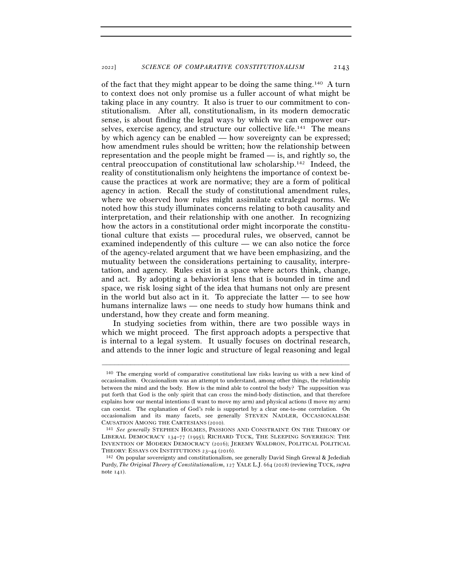of the fact that they might appear to be doing the same thing.140 A turn to context does not only promise us a fuller account of what might be taking place in any country. It also is truer to our commitment to constitutionalism. After all, constitutionalism, in its modern democratic sense, is about finding the legal ways by which we can empower ourselves, exercise agency, and structure our collective life.141 The means by which agency can be enabled — how sovereignty can be expressed; how amendment rules should be written; how the relationship between representation and the people might be framed — is, and rightly so, the central preoccupation of constitutional law scholarship.142 Indeed, the reality of constitutionalism only heightens the importance of context because the practices at work are normative; they are a form of political agency in action. Recall the study of constitutional amendment rules, where we observed how rules might assimilate extralegal norms. We noted how this study illuminates concerns relating to both causality and interpretation, and their relationship with one another. In recognizing how the actors in a constitutional order might incorporate the constitutional culture that exists — procedural rules, we observed, cannot be examined independently of this culture — we can also notice the force of the agency-related argument that we have been emphasizing, and the mutuality between the considerations pertaining to causality, interpretation, and agency. Rules exist in a space where actors think, change, and act. By adopting a behaviorist lens that is bounded in time and space, we risk losing sight of the idea that humans not only are present in the world but also act in it. To appreciate the latter — to see how humans internalize laws — one needs to study how humans think and understand, how they create and form meaning.

In studying societies from within, there are two possible ways in which we might proceed. The first approach adopts a perspective that is internal to a legal system. It usually focuses on doctrinal research, and attends to the inner logic and structure of legal reasoning and legal

<sup>140</sup> The emerging world of comparative constitutional law risks leaving us with a new kind of occasionalism. Occasionalism was an attempt to understand, among other things, the relationship between the mind and the body. How is the mind able to control the body? The supposition was put forth that God is the only spirit that can cross the mind-body distinction, and that therefore explains how our mental intentions (I want to move my arm) and physical actions (I move my arm) can coexist. The explanation of God's role is supported by a clear one-to-one correlation. On occasionalism and its many facets, see generally STEVEN NADLER, OCCASIONALISM: CAUSATION AMONG THE CARTESIANS (<sup>2010</sup>). 141 *See generally* STEPHEN HOLMES, PASSIONS AND CONSTRAINT: ON THE THEORY OF

LIBERAL DEMOCRACY 134–77 (1995); RICHARD TUCK, THE SLEEPING SOVEREIGN: THE INVENTION OF MODERN DEMOCRACY (2016); JEREMY WALDRON, POLITICAL POLITICAL THEORY: ESSAYS ON INSTITUTIONS 23–44 (2016).<br><sup>142</sup> On popular sovereignty and constitutionalism, see generally David Singh Grewal & Jedediah

Purdy, *The Original Theory of Constitutionalism*, 127 YALE L.J. 664 (2018) (reviewing TUCK, *supra* note 141).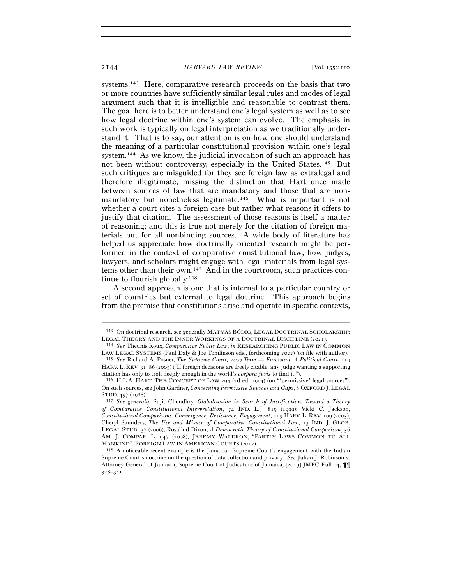systems.143 Here, comparative research proceeds on the basis that two or more countries have sufficiently similar legal rules and modes of legal argument such that it is intelligible and reasonable to contrast them. The goal here is to better understand one's legal system as well as to see how legal doctrine within one's system can evolve. The emphasis in such work is typically on legal interpretation as we traditionally understand it. That is to say, our attention is on how one should understand the meaning of a particular constitutional provision within one's legal system.144 As we know, the judicial invocation of such an approach has not been without controversy, especially in the United States.145 But such critiques are misguided for they see foreign law as extralegal and therefore illegitimate, missing the distinction that Hart once made between sources of law that are mandatory and those that are nonmandatory but nonetheless legitimate.<sup>146</sup> What is important is not whether a court cites a foreign case but rather what reasons it offers to justify that citation. The assessment of those reasons is itself a matter of reasoning; and this is true not merely for the citation of foreign materials but for all nonbinding sources. A wide body of literature has helped us appreciate how doctrinally oriented research might be performed in the context of comparative constitutional law; how judges, lawyers, and scholars might engage with legal materials from legal systems other than their own.147 And in the courtroom, such practices continue to flourish globally.148

A second approach is one that is internal to a particular country or set of countries but external to legal doctrine. This approach begins from the premise that constitutions arise and operate in specific contexts,

<sup>–––––––––––––––––––––––––––––––––––––––––––––––––––––––––––––</sup> 143 On doctrinal research, see generally MÁTYÁS BÓDIG, LEGAL DOCTRINAL SCHOLARSHIP: LEGAL THEORY AND THE INNER WORKINGS OF <sup>A</sup> DOCTRINAL DISCIPLINE (<sup>2021</sup>). 144 *See* Theunis Roux, *Comparative Public Law*, *in* RESEARCHING PUBLIC LAW IN COMMON

LAW LEGAL SYSTEMS (Paul Daly & Joe Tomlinson eds., forthcoming <sup>2022</sup>) (on file with author). 145 *See* Richard A. Posner, *The Supreme Court,* 2004 *Term — Foreword: A Political Court*, <sup>119</sup>

HARV. L. REV. 31, 86 (2005) ("If foreign decisions are freely citable, any judge wanting a supporting citation has only to troll deeply enough in the world's *corpora juris* to find it."). 146 H.L.A. HART, THE CONCEPT OF LAW <sup>294</sup> (2d ed. 1994) (on "'permissive' legal sources").

On such sources, see John Gardner, *Concerning Permissive Sources and Gaps*, 8 OXFORD J. LEGAL STUD. <sup>457</sup> (<sup>1988</sup>). 147 *See generally* Sujit Choudhry, *Globalization in Search of Justification: Toward a Theory* 

*of Comparative Constitutional Interpretation*, 74 IND. L.J. 819 (1999); Vicki C. Jackson, *Constitutional Comparisons: Convergence, Resistance, Engagement*, 119 HARV. L. REV. 109 (2005); Cheryl Saunders, *The Use and Misuse of Comparative Constitutional Law*, 13 IND. J. GLOB. LEGAL STUD. 37 (2006); Rosalind Dixon, *A Democratic Theory of Constitutional Comparison*, 56 AM. J. COMPAR. L. 947 (2008); JEREMY WALDRON, "PARTLY LAWS COMMON TO ALL MANKIND": FOREIGN LAW IN AMERICAN COURTS (<sup>2012</sup>). 148 A noticeable recent example is the Jamaican Supreme Court's engagement with the Indian

Supreme Court's doctrine on the question of data collection and privacy. *See* Julian J. Robinson v. Attorney General of Jamaica, Supreme Court of Judicature of Jamaica, [2019] JMFC Full 04, ¶¶ 328–341.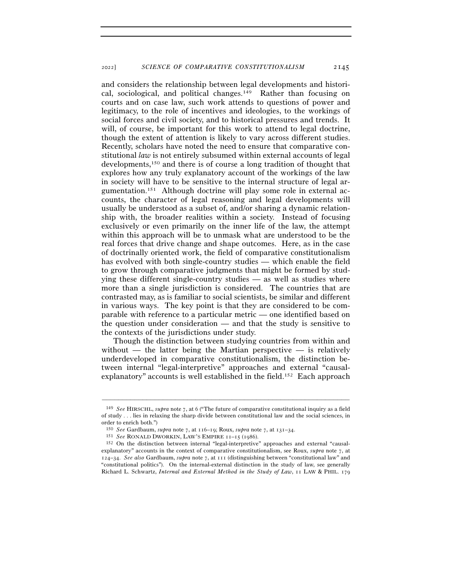and considers the relationship between legal developments and historical, sociological, and political changes.149 Rather than focusing on courts and on case law, such work attends to questions of power and legitimacy, to the role of incentives and ideologies, to the workings of social forces and civil society, and to historical pressures and trends. It will, of course, be important for this work to attend to legal doctrine, though the extent of attention is likely to vary across different studies. Recently, scholars have noted the need to ensure that comparative constitutional *law* is not entirely subsumed within external accounts of legal developments,150 and there is of course a long tradition of thought that explores how any truly explanatory account of the workings of the law in society will have to be sensitive to the internal structure of legal argumentation.151 Although doctrine will play some role in external accounts, the character of legal reasoning and legal developments will usually be understood as a subset of, and/or sharing a dynamic relationship with, the broader realities within a society. Instead of focusing exclusively or even primarily on the inner life of the law, the attempt within this approach will be to unmask what are understood to be the real forces that drive change and shape outcomes. Here, as in the case of doctrinally oriented work, the field of comparative constitutionalism has evolved with both single-country studies — which enable the field to grow through comparative judgments that might be formed by studying these different single-country studies — as well as studies where more than a single jurisdiction is considered. The countries that are contrasted may, as is familiar to social scientists, be similar and different in various ways. The key point is that they are considered to be comparable with reference to a particular metric — one identified based on the question under consideration — and that the study is sensitive to the contexts of the jurisdictions under study.

Though the distinction between studying countries from within and without — the latter being the Martian perspective — is relatively underdeveloped in comparative constitutionalism, the distinction between internal "legal-interpretive" approaches and external "causalexplanatory" accounts is well established in the field.152 Each approach

<sup>149</sup> *See* HIRSCHL, *supra* note 7, at 6 ("The future of comparative constitutional inquiry as a field of study . . . lies in relaxing the sharp divide between constitutional law and the social sciences, in order to enrich both.")

<sup>150</sup> *See* Gardbaum, *supra* note 7, at 116–19; Roux, *supra* note 7, at 131–<sup>34</sup>. 151 *See* RONALD DWORKIN, LAW'S EMPIRE <sup>11</sup>–15 (1986).

<sup>152</sup> On the distinction between internal "legal-interpretive" approaches and external "causalexplanatory" accounts in the context of comparative constitutionalism, see Roux, *supra* note 7, at 124–34. *See also* Gardbaum, *supra* note 7, at 111 (distinguishing between "constitutional law" and "constitutional politics"). On the internal-external distinction in the study of law, see generally Richard L. Schwartz, *Internal and External Method in the Study of Law*, 11 LAW & PHIL. 179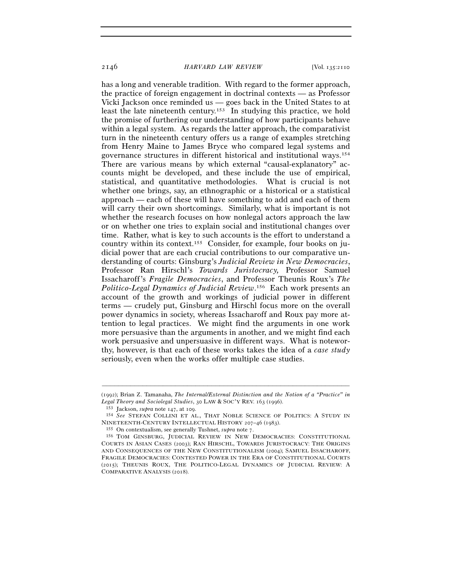has a long and venerable tradition. With regard to the former approach, the practice of foreign engagement in doctrinal contexts — as Professor Vicki Jackson once reminded us — goes back in the United States to at least the late nineteenth century.153 In studying this practice, we hold the promise of furthering our understanding of how participants behave within a legal system. As regards the latter approach, the comparativist turn in the nineteenth century offers us a range of examples stretching from Henry Maine to James Bryce who compared legal systems and governance structures in different historical and institutional ways.154 There are various means by which external "causal-explanatory" accounts might be developed, and these include the use of empirical, statistical, and quantitative methodologies. What is crucial is not whether one brings, say, an ethnographic or a historical or a statistical approach — each of these will have something to add and each of them will carry their own shortcomings. Similarly, what is important is not whether the research focuses on how nonlegal actors approach the law or on whether one tries to explain social and institutional changes over time. Rather, what is key to such accounts is the effort to understand a country within its context.155 Consider, for example, four books on judicial power that are each crucial contributions to our comparative understanding of courts: Ginsburg's *Judicial Review in New Democracies*, Professor Ran Hirschl's *Towards Juristocracy,* Professor Samuel Issacharoff's *Fragile Democracies*, and Professor Theunis Roux's *The Politico-Legal Dynamics of Judicial Review*. 156 Each work presents an account of the growth and workings of judicial power in different terms — crudely put, Ginsburg and Hirschl focus more on the overall power dynamics in society, whereas Issacharoff and Roux pay more attention to legal practices. We might find the arguments in one work more persuasive than the arguments in another, and we might find each work persuasive and unpersuasive in different ways. What is noteworthy, however, is that each of these works takes the idea of a *case study* seriously, even when the works offer multiple case studies.

<sup>–––––––––––––––––––––––––––––––––––––––––––––––––––––––––––––</sup> (1992); Brian Z. Tamanaha, *The Internal/External Distinction and the Notion of a "Practice" in*

*Legal Theory and Sociolegal Studies*, 30 LAW & SOC'Y REV. 163 (1996).<br><sup>153</sup> Jackson, *supra* note 147, at 109.<br><sup>154</sup> *See* STEFAN COLLINI ET AL., THAT NOBLE SCIENCE OF POLITICS: A STUDY IN<br>NINETEENTH-CENTURY INTELLECTUAL

<sup>&</sup>lt;sup>155</sup> On contextualism, see generally Tushnet, *supra* note 7.<br><sup>156</sup> TOM GINSBURG, JUDICIAL REVIEW IN NEW DEMOCRACIES: CONSTITUTIONAL COURTS IN ASIAN CASES (2003); RAN HIRSCHL, TOWARDS JURISTOCRACY: THE ORIGINS AND CONSEQUENCES OF THE NEW CONSTITUTIONALISM (2004); SAMUEL ISSACHAROFF, FRAGILE DEMOCRACIES: CONTESTED POWER IN THE ERA OF CONSTITUTIONAL COURTS (2015); THEUNIS ROUX, THE POLITICO-LEGAL DYNAMICS OF JUDICIAL REVIEW: A COMPARATIVE ANALYSIS (2018).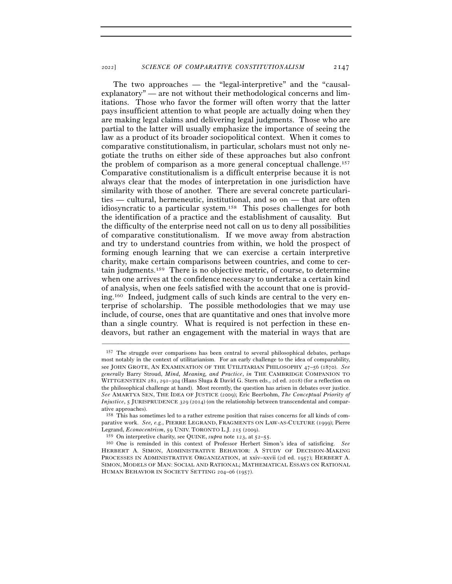The two approaches — the "legal-interpretive" and the "causalexplanatory" — are not without their methodological concerns and limitations. Those who favor the former will often worry that the latter pays insufficient attention to what people are actually doing when they are making legal claims and delivering legal judgments. Those who are partial to the latter will usually emphasize the importance of seeing the law as a product of its broader sociopolitical context. When it comes to comparative constitutionalism, in particular, scholars must not only negotiate the truths on either side of these approaches but also confront the problem of comparison as a more general conceptual challenge.157 Comparative constitutionalism is a difficult enterprise because it is not always clear that the modes of interpretation in one jurisdiction have similarity with those of another. There are several concrete particularities — cultural, hermeneutic, institutional, and so on — that are often idiosyncratic to a particular system.158 This poses challenges for both the identification of a practice and the establishment of causality. But the difficulty of the enterprise need not call on us to deny all possibilities of comparative constitutionalism. If we move away from abstraction and try to understand countries from within, we hold the prospect of forming enough learning that we can exercise a certain interpretive charity, make certain comparisons between countries, and come to certain judgments.159 There is no objective metric, of course, to determine when one arrives at the confidence necessary to undertake a certain kind of analysis, when one feels satisfied with the account that one is providing.160 Indeed, judgment calls of such kinds are central to the very enterprise of scholarship. The possible methodologies that we may use include, of course, ones that are quantitative and ones that involve more than a single country. What is required is not perfection in these endeavors, but rather an engagement with the material in ways that are

<sup>157</sup> The struggle over comparisons has been central to several philosophical debates, perhaps most notably in the context of utilitarianism. For an early challenge to the idea of comparability, see JOHN GROTE, AN EXAMINATION OF THE UTILITARIAN PHILOSOPHY 47–56 (1870). *See generally* Barry Stroud, *Mind, Meaning, and Practice*, *in* THE CAMBRIDGE COMPANION TO WITTGENSTEIN 281, 291–304 (Hans Sluga & David G. Stern eds., 2d ed. 2018) (for a reflection on the philosophical challenge at hand). Most recently, the question has arisen in debates over justice. *See* AMARTYA SEN, THE IDEA OF JUSTICE (2009); Eric Beerbohm, *The Conceptual Priority of Injustice*, 5 JURISPRUDENCE 329 (2014) (on the relationship between transcendental and comparative approaches).

<sup>158</sup> This has sometimes led to a rather extreme position that raises concerns for all kinds of comparative work. *See, e.g.*, PIERRE LEGRAND, FRAGMENTS ON LAW-AS-CULTURE (1999); Pierre Legrand, *Econocentrism*, 59 UNIV. TORONTO L.J. 215 (2009).

<sup>159</sup> On interpretive charity, see QUINE, *supra* note 123, at 52–<sup>55</sup>. 160 One is reminded in this context of Professor Herbert Simon's idea of satisficing. *See* HERBERT A. SIMON, ADMINISTRATIVE BEHAVIOR: A STUDY OF DECISION-MAKING PROCESSES IN ADMINISTRATIVE ORGANIZATION, at xxiv–xxvii (2d ed. 1957); HERBERT A. SIMON, MODELS OF MAN: SOCIAL AND RATIONAL; MATHEMATICAL ESSAYS ON RATIONAL HUMAN BEHAVIOR IN SOCIETY SETTING 204–06 (1957).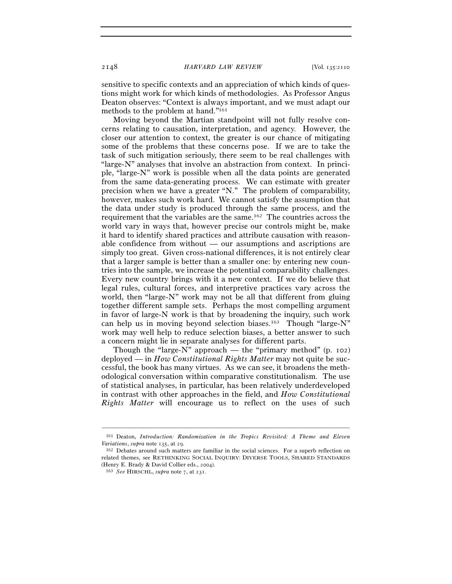sensitive to specific contexts and an appreciation of which kinds of questions might work for which kinds of methodologies. As Professor Angus Deaton observes: "Context is always important, and we must adapt our methods to the problem at hand."161

Moving beyond the Martian standpoint will not fully resolve concerns relating to causation, interpretation, and agency. However, the closer our attention to context, the greater is our chance of mitigating some of the problems that these concerns pose. If we are to take the task of such mitigation seriously, there seem to be real challenges with "large-N" analyses that involve an abstraction from context. In principle, "large-N" work is possible when all the data points are generated from the same data-generating process. We can estimate with greater precision when we have a greater "N." The problem of comparability, however, makes such work hard. We cannot satisfy the assumption that the data under study is produced through the same process, and the requirement that the variables are the same.162 The countries across the world vary in ways that, however precise our controls might be, make it hard to identify shared practices and attribute causation with reasonable confidence from without — our assumptions and ascriptions are simply too great. Given cross-national differences, it is not entirely clear that a larger sample is better than a smaller one: by entering new countries into the sample, we increase the potential comparability challenges. Every new country brings with it a new context. If we do believe that legal rules, cultural forces, and interpretive practices vary across the world, then "large-N" work may not be all that different from gluing together different sample sets. Perhaps the most compelling argument in favor of large-N work is that by broadening the inquiry, such work can help us in moving beyond selection biases.<sup>163</sup> Though "large-N" work may well help to reduce selection biases, a better answer to such a concern might lie in separate analyses for different parts.

Though the "large- $N$ " approach — the "primary method" (p. 102) deployed — in *How Constitutional Rights Matter* may not quite be successful, the book has many virtues. As we can see, it broadens the methodological conversation within comparative constitutionalism. The use of statistical analyses, in particular, has been relatively underdeveloped in contrast with other approaches in the field, and *How Constitutional Rights Matter* will encourage us to reflect on the uses of such

<sup>–––––––––––––––––––––––––––––––––––––––––––––––––––––––––––––</sup> 161 Deaton, *Introduction: Randomization in the Tropics Revisited: A Theme and Eleven Variations*, *supra* note 135, at 29.<br><sup>162</sup> Debates around such matters are familiar in the social sciences. For a superb reflection on

related themes, see RETHINKING SOCIAL INQUIRY: DIVERSE TOOLS, SHARED STANDARDS (Henry E. Brady & David Collier eds., <sup>2004</sup>). 163 *See* HIRSCHL, *supra* note 7, at 231.